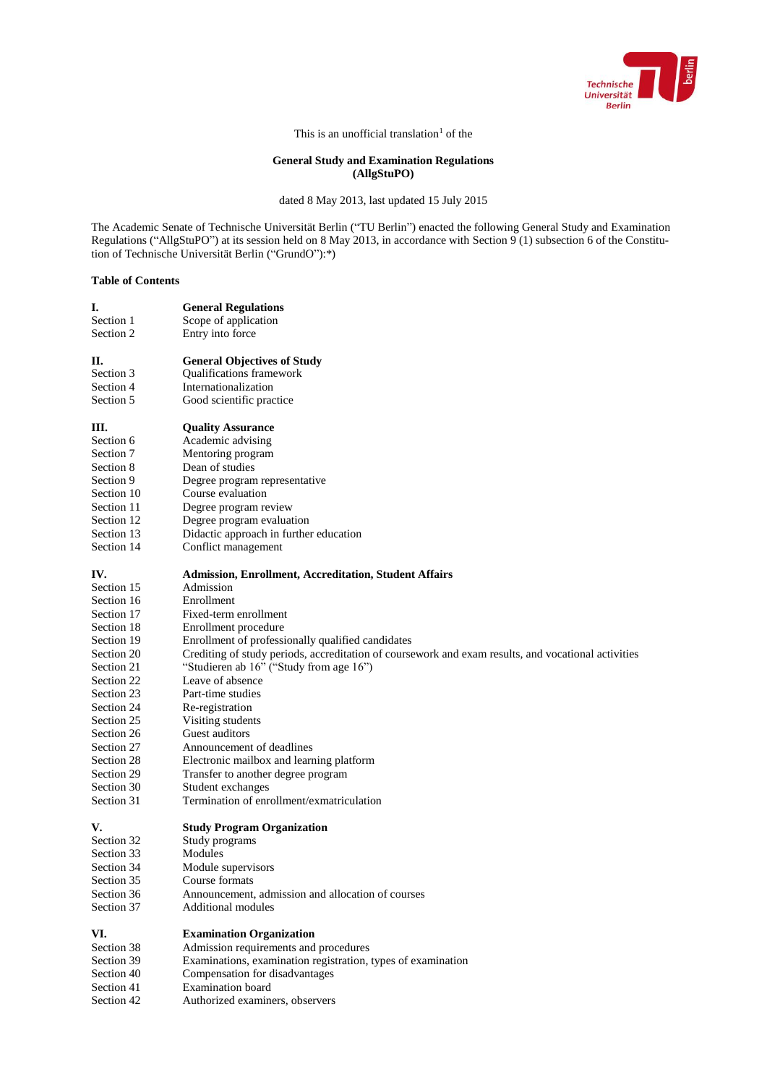

This is an unofficial translation<sup>1</sup> of the

# **General Study and Examination Regulations (AllgStuPO)**

dated 8 May 2013, last updated 15 July 2015

The Academic Senate of Technische Universität Berlin ("TU Berlin") enacted the following General Study and Examination Regulations ("AllgStuPO") at its session held on 8 May 2013, in accordance with Section 9 (1) subsection 6 of the Constitution of Technische Universität Berlin ("GrundO"):\*)

## **Table of Contents**

**I. General Regulations**

| Section 1  | Scope of application                                                                                |
|------------|-----------------------------------------------------------------------------------------------------|
| Section 2  | Entry into force                                                                                    |
|            |                                                                                                     |
| П.         | <b>General Objectives of Study</b>                                                                  |
| Section 3  | Qualifications framework                                                                            |
| Section 4  | Internationalization                                                                                |
| Section 5  | Good scientific practice                                                                            |
| III.       | <b>Quality Assurance</b>                                                                            |
| Section 6  | Academic advising                                                                                   |
| Section 7  | Mentoring program                                                                                   |
| Section 8  | Dean of studies                                                                                     |
| Section 9  | Degree program representative                                                                       |
| Section 10 | Course evaluation                                                                                   |
| Section 11 | Degree program review                                                                               |
| Section 12 | Degree program evaluation                                                                           |
| Section 13 | Didactic approach in further education                                                              |
| Section 14 | Conflict management                                                                                 |
| IV.        | <b>Admission, Enrollment, Accreditation, Student Affairs</b>                                        |
| Section 15 | Admission                                                                                           |
| Section 16 | Enrollment                                                                                          |
| Section 17 | Fixed-term enrollment                                                                               |
| Section 18 | Enrollment procedure                                                                                |
| Section 19 | Enrollment of professionally qualified candidates                                                   |
| Section 20 | Crediting of study periods, accreditation of coursework and exam results, and vocational activities |
| Section 21 | "Studieren ab 16" ("Study from age 16")                                                             |
| Section 22 | Leave of absence                                                                                    |
| Section 23 | Part-time studies                                                                                   |
| Section 24 | Re-registration                                                                                     |
| Section 25 | Visiting students                                                                                   |
| Section 26 | Guest auditors                                                                                      |
| Section 27 | Announcement of deadlines                                                                           |
| Section 28 | Electronic mailbox and learning platform                                                            |
| Section 29 | Transfer to another degree program                                                                  |
| Section 30 | Student exchanges                                                                                   |
| Section 31 | Termination of enrollment/exmatriculation                                                           |
| V.         | <b>Study Program Organization</b>                                                                   |
| Section 32 | Study programs                                                                                      |
| Section 33 | Modules                                                                                             |
| Section 34 | Module supervisors                                                                                  |
| Section 35 | Course formats                                                                                      |
| Section 36 | Announcement, admission and allocation of courses                                                   |
| Section 37 | <b>Additional modules</b>                                                                           |
| VI.        | <b>Examination Organization</b>                                                                     |
| Section 38 | Admission requirements and procedures                                                               |
| Section 39 | Examinations, examination registration, types of examination                                        |
| Section 40 | Compensation for disadvantages                                                                      |
| Section 41 | <b>Examination</b> board                                                                            |
| Section 42 | Authorized examiners, observers                                                                     |
|            |                                                                                                     |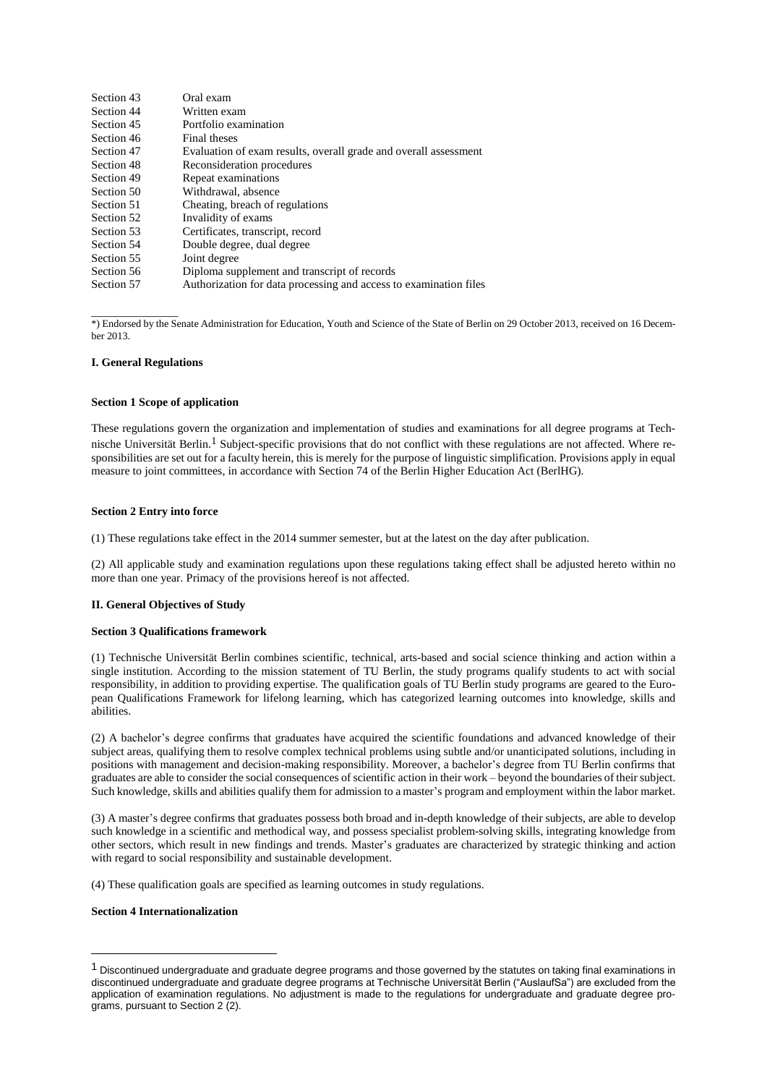| Section 43 | Oral exam                                                         |
|------------|-------------------------------------------------------------------|
| Section 44 | Written exam                                                      |
| Section 45 | Portfolio examination                                             |
| Section 46 | Final theses                                                      |
| Section 47 | Evaluation of exam results, overall grade and overall assessment  |
| Section 48 | Reconsideration procedures                                        |
| Section 49 | Repeat examinations                                               |
| Section 50 | Withdrawal, absence                                               |
| Section 51 | Cheating, breach of regulations                                   |
| Section 52 | Invalidity of exams                                               |
| Section 53 | Certificates, transcript, record                                  |
| Section 54 | Double degree, dual degree                                        |
| Section 55 | Joint degree                                                      |
| Section 56 | Diploma supplement and transcript of records                      |
| Section 57 | Authorization for data processing and access to examination files |
|            |                                                                   |

\_\_\_\_\_\_\_\_\_\_\_\_\_\_\_ \*) Endorsed by the Senate Administration for Education, Youth and Science of the State of Berlin on 29 October 2013, received on 16 December 2013.

## **I. General Regulations**

#### **Section 1 Scope of application**

These regulations govern the organization and implementation of studies and examinations for all degree programs at Technische Universität Berlin.<sup>1</sup> Subject-specific provisions that do not conflict with these regulations are not affected. Where responsibilities are set out for a faculty herein, this is merely for the purpose of linguistic simplification. Provisions apply in equal measure to joint committees, in accordance with Section 74 of the Berlin Higher Education Act (BerlHG).

## **Section 2 Entry into force**

(1) These regulations take effect in the 2014 summer semester, but at the latest on the day after publication.

(2) All applicable study and examination regulations upon these regulations taking effect shall be adjusted hereto within no more than one year. Primacy of the provisions hereof is not affected.

## **II. General Objectives of Study**

#### **Section 3 Qualifications framework**

(1) Technische Universität Berlin combines scientific, technical, arts-based and social science thinking and action within a single institution. According to the mission statement of TU Berlin, the study programs qualify students to act with social responsibility, in addition to providing expertise. The qualification goals of TU Berlin study programs are geared to the European Qualifications Framework for lifelong learning, which has categorized learning outcomes into knowledge, skills and abilities.

(2) A bachelor's degree confirms that graduates have acquired the scientific foundations and advanced knowledge of their subject areas, qualifying them to resolve complex technical problems using subtle and/or unanticipated solutions, including in positions with management and decision-making responsibility. Moreover, a bachelor's degree from TU Berlin confirms that graduates are able to consider the social consequences of scientific action in their work – beyond the boundaries of their subject. Such knowledge, skills and abilities qualify them for admission to a master's program and employment within the labor market.

(3) A master's degree confirms that graduates possess both broad and in-depth knowledge of their subjects, are able to develop such knowledge in a scientific and methodical way, and possess specialist problem-solving skills, integrating knowledge from other sectors, which result in new findings and trends. Master's graduates are characterized by strategic thinking and action with regard to social responsibility and sustainable development.

(4) These qualification goals are specified as learning outcomes in study regulations.

## **Section 4 Internationalization**

 $\overline{a}$ 

<sup>&</sup>lt;sup>1</sup> Discontinued undergraduate and graduate degree programs and those governed by the statutes on taking final examinations in discontinued undergraduate and graduate degree programs at Technische Universität Berlin ("AuslaufSa") are excluded from the application of examination regulations. No adjustment is made to the regulations for undergraduate and graduate degree programs, pursuant to Section 2 (2).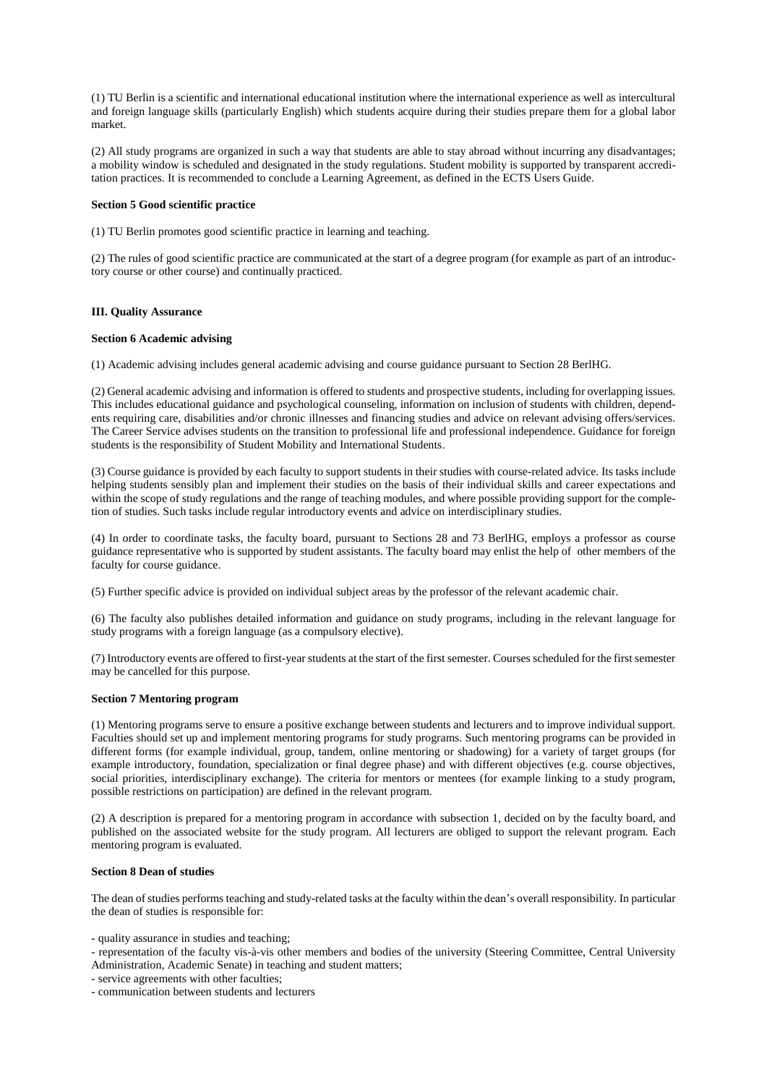(1) TU Berlin is a scientific and international educational institution where the international experience as well as intercultural and foreign language skills (particularly English) which students acquire during their studies prepare them for a global labor market.

(2) All study programs are organized in such a way that students are able to stay abroad without incurring any disadvantages; a mobility window is scheduled and designated in the study regulations. Student mobility is supported by transparent accreditation practices. It is recommended to conclude a Learning Agreement, as defined in the ECTS Users Guide.

## **Section 5 Good scientific practice**

(1) TU Berlin promotes good scientific practice in learning and teaching.

(2) The rules of good scientific practice are communicated at the start of a degree program (for example as part of an introductory course or other course) and continually practiced.

## **III. Quality Assurance**

#### **Section 6 Academic advising**

(1) Academic advising includes general academic advising and course guidance pursuant to Section 28 BerlHG.

(2) General academic advising and information is offered to students and prospective students, including for overlapping issues. This includes educational guidance and psychological counseling, information on inclusion of students with children, dependents requiring care, disabilities and/or chronic illnesses and financing studies and advice on relevant advising offers/services. The Career Service advises students on the transition to professional life and professional independence. Guidance for foreign students is the responsibility of Student Mobility and International Students.

(3) Course guidance is provided by each faculty to support students in their studies with course-related advice. Its tasks include helping students sensibly plan and implement their studies on the basis of their individual skills and career expectations and within the scope of study regulations and the range of teaching modules, and where possible providing support for the completion of studies. Such tasks include regular introductory events and advice on interdisciplinary studies.

(4) In order to coordinate tasks, the faculty board, pursuant to Sections 28 and 73 BerlHG, employs a professor as course guidance representative who is supported by student assistants. The faculty board may enlist the help of other members of the faculty for course guidance.

(5) Further specific advice is provided on individual subject areas by the professor of the relevant academic chair.

(6) The faculty also publishes detailed information and guidance on study programs, including in the relevant language for study programs with a foreign language (as a compulsory elective).

(7) Introductory events are offered to first-year students at the start of the first semester. Courses scheduled for the first semester may be cancelled for this purpose.

## **Section 7 Mentoring program**

(1) Mentoring programs serve to ensure a positive exchange between students and lecturers and to improve individual support. Faculties should set up and implement mentoring programs for study programs. Such mentoring programs can be provided in different forms (for example individual, group, tandem, online mentoring or shadowing) for a variety of target groups (for example introductory, foundation, specialization or final degree phase) and with different objectives (e.g. course objectives, social priorities, interdisciplinary exchange). The criteria for mentors or mentees (for example linking to a study program, possible restrictions on participation) are defined in the relevant program.

(2) A description is prepared for a mentoring program in accordance with subsection 1, decided on by the faculty board, and published on the associated website for the study program. All lecturers are obliged to support the relevant program. Each mentoring program is evaluated.

## **Section 8 Dean of studies**

The dean of studies performs teaching and study-related tasks at the faculty within the dean's overall responsibility. In particular the dean of studies is responsible for:

- quality assurance in studies and teaching;

- representation of the faculty vis-à-vis other members and bodies of the university (Steering Committee, Central University Administration, Academic Senate) in teaching and student matters;
- service agreements with other faculties;

- communication between students and lecturers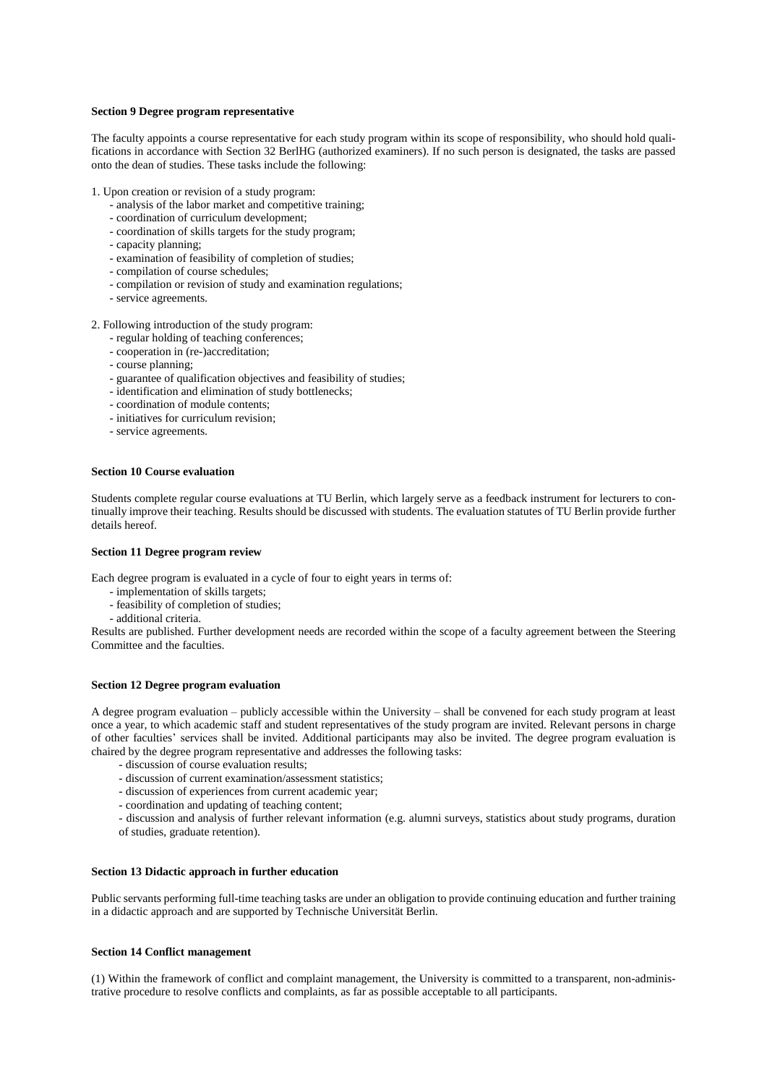#### **Section 9 Degree program representative**

The faculty appoints a course representative for each study program within its scope of responsibility, who should hold qualifications in accordance with Section 32 BerlHG (authorized examiners). If no such person is designated, the tasks are passed onto the dean of studies. These tasks include the following:

1. Upon creation or revision of a study program:

- analysis of the labor market and competitive training;
- coordination of curriculum development;
- coordination of skills targets for the study program;
- capacity planning;
- examination of feasibility of completion of studies;
- compilation of course schedules;
- compilation or revision of study and examination regulations;
- service agreements.
- 2. Following introduction of the study program:
	- regular holding of teaching conferences;
	- cooperation in (re-)accreditation;
	- course planning;
	- guarantee of qualification objectives and feasibility of studies;
	- identification and elimination of study bottlenecks;
	- coordination of module contents;
	- initiatives for curriculum revision;
	- service agreements.

## **Section 10 Course evaluation**

Students complete regular course evaluations at TU Berlin, which largely serve as a feedback instrument for lecturers to continually improve their teaching. Results should be discussed with students. The evaluation statutes of TU Berlin provide further details hereof.

#### **Section 11 Degree program review**

Each degree program is evaluated in a cycle of four to eight years in terms of:

- implementation of skills targets;
- feasibility of completion of studies;
- additional criteria.

Results are published. Further development needs are recorded within the scope of a faculty agreement between the Steering Committee and the faculties.

## **Section 12 Degree program evaluation**

A degree program evaluation – publicly accessible within the University – shall be convened for each study program at least once a year, to which academic staff and student representatives of the study program are invited. Relevant persons in charge of other faculties' services shall be invited. Additional participants may also be invited. The degree program evaluation is chaired by the degree program representative and addresses the following tasks:

- discussion of course evaluation results;
- discussion of current examination/assessment statistics;
- discussion of experiences from current academic year;
- coordination and updating of teaching content;

- discussion and analysis of further relevant information (e.g. alumni surveys, statistics about study programs, duration of studies, graduate retention).

## **Section 13 Didactic approach in further education**

Public servants performing full-time teaching tasks are under an obligation to provide continuing education and further training in a didactic approach and are supported by Technische Universität Berlin.

### **Section 14 Conflict management**

(1) Within the framework of conflict and complaint management, the University is committed to a transparent, non-administrative procedure to resolve conflicts and complaints, as far as possible acceptable to all participants.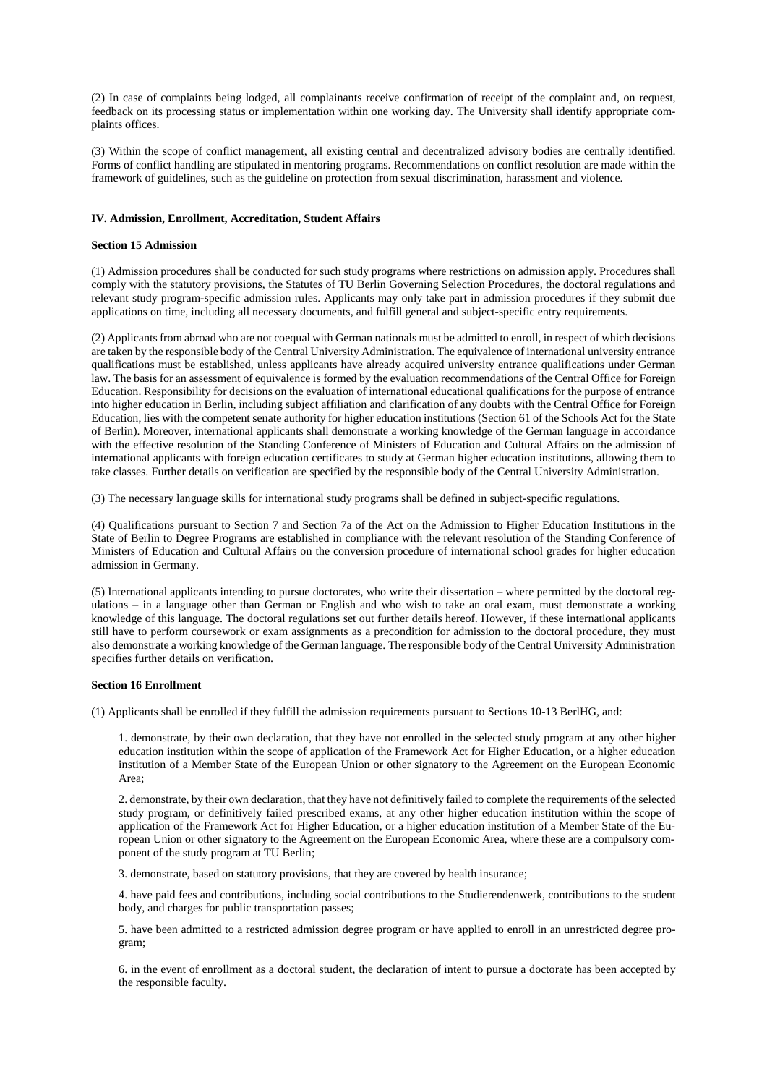(2) In case of complaints being lodged, all complainants receive confirmation of receipt of the complaint and, on request, feedback on its processing status or implementation within one working day. The University shall identify appropriate complaints offices.

(3) Within the scope of conflict management, all existing central and decentralized advisory bodies are centrally identified. Forms of conflict handling are stipulated in mentoring programs. Recommendations on conflict resolution are made within the framework of guidelines, such as the guideline on protection from sexual discrimination, harassment and violence.

# **IV. Admission, Enrollment, Accreditation, Student Affairs**

### **Section 15 Admission**

(1) Admission procedures shall be conducted for such study programs where restrictions on admission apply. Procedures shall comply with the statutory provisions, the Statutes of TU Berlin Governing Selection Procedures, the doctoral regulations and relevant study program-specific admission rules. Applicants may only take part in admission procedures if they submit due applications on time, including all necessary documents, and fulfill general and subject-specific entry requirements.

(2) Applicants from abroad who are not coequal with German nationals must be admitted to enroll, in respect of which decisions are taken by the responsible body of the Central University Administration. The equivalence of international university entrance qualifications must be established, unless applicants have already acquired university entrance qualifications under German law. The basis for an assessment of equivalence is formed by the evaluation recommendations of the Central Office for Foreign Education. Responsibility for decisions on the evaluation of international educational qualifications for the purpose of entrance into higher education in Berlin, including subject affiliation and clarification of any doubts with the Central Office for Foreign Education, lies with the competent senate authority for higher education institutions (Section 61 of the Schools Act for the State of Berlin). Moreover, international applicants shall demonstrate a working knowledge of the German language in accordance with the effective resolution of the Standing Conference of Ministers of Education and Cultural Affairs on the admission of international applicants with foreign education certificates to study at German higher education institutions, allowing them to take classes. Further details on verification are specified by the responsible body of the Central University Administration.

(3) The necessary language skills for international study programs shall be defined in subject-specific regulations.

(4) Qualifications pursuant to Section 7 and Section 7a of the Act on the Admission to Higher Education Institutions in the State of Berlin to Degree Programs are established in compliance with the relevant resolution of the Standing Conference of Ministers of Education and Cultural Affairs on the conversion procedure of international school grades for higher education admission in Germany.

(5) International applicants intending to pursue doctorates, who write their dissertation – where permitted by the doctoral regulations – in a language other than German or English and who wish to take an oral exam, must demonstrate a working knowledge of this language. The doctoral regulations set out further details hereof. However, if these international applicants still have to perform coursework or exam assignments as a precondition for admission to the doctoral procedure, they must also demonstrate a working knowledge of the German language. The responsible body of the Central University Administration specifies further details on verification.

# **Section 16 Enrollment**

(1) Applicants shall be enrolled if they fulfill the admission requirements pursuant to Sections 10-13 BerlHG, and:

1. demonstrate, by their own declaration, that they have not enrolled in the selected study program at any other higher education institution within the scope of application of the Framework Act for Higher Education, or a higher education institution of a Member State of the European Union or other signatory to the Agreement on the European Economic Area;

2. demonstrate, by their own declaration, that they have not definitively failed to complete the requirements of the selected study program, or definitively failed prescribed exams, at any other higher education institution within the scope of application of the Framework Act for Higher Education, or a higher education institution of a Member State of the European Union or other signatory to the Agreement on the European Economic Area, where these are a compulsory component of the study program at TU Berlin;

3. demonstrate, based on statutory provisions, that they are covered by health insurance;

4. have paid fees and contributions, including social contributions to the Studierendenwerk, contributions to the student body, and charges for public transportation passes;

5. have been admitted to a restricted admission degree program or have applied to enroll in an unrestricted degree program;

6. in the event of enrollment as a doctoral student, the declaration of intent to pursue a doctorate has been accepted by the responsible faculty.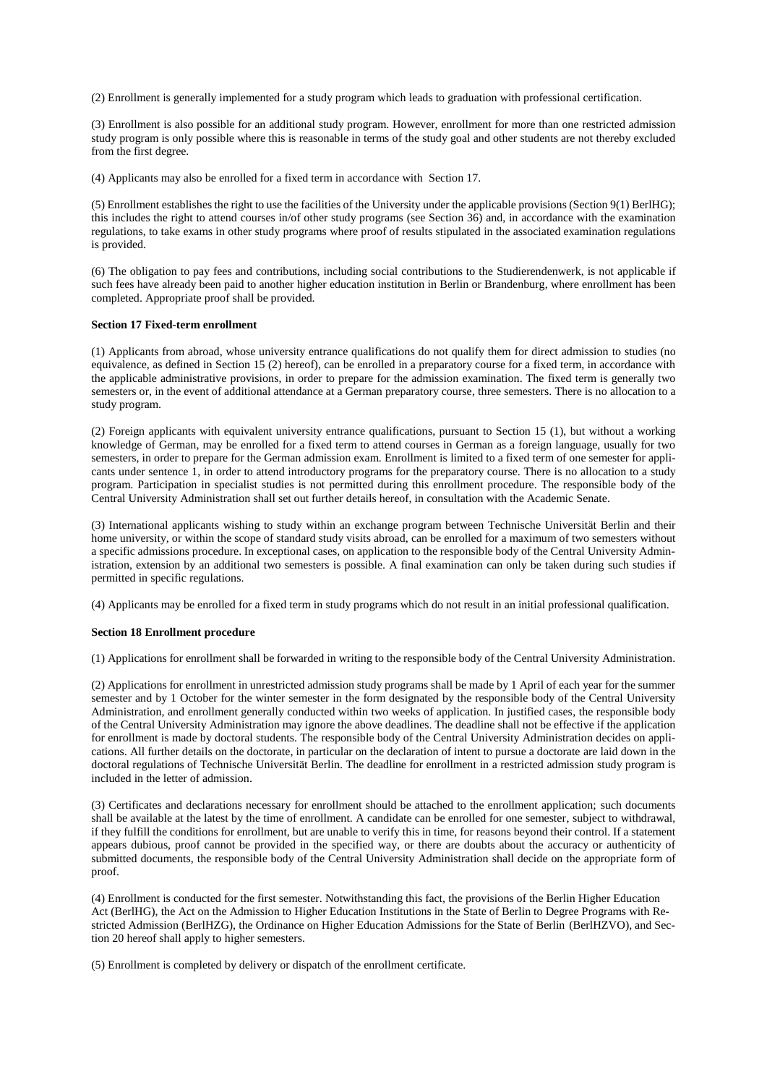(2) Enrollment is generally implemented for a study program which leads to graduation with professional certification.

(3) Enrollment is also possible for an additional study program. However, enrollment for more than one restricted admission study program is only possible where this is reasonable in terms of the study goal and other students are not thereby excluded from the first degree.

(4) Applicants may also be enrolled for a fixed term in accordance with Section 17.

(5) Enrollment establishes the right to use the facilities of the University under the applicable provisions (Section 9(1) BerlHG); this includes the right to attend courses in/of other study programs (see Section 36) and, in accordance with the examination regulations, to take exams in other study programs where proof of results stipulated in the associated examination regulations is provided.

(6) The obligation to pay fees and contributions, including social contributions to the Studierendenwerk, is not applicable if such fees have already been paid to another higher education institution in Berlin or Brandenburg, where enrollment has been completed. Appropriate proof shall be provided.

#### **Section 17 Fixed-term enrollment**

(1) Applicants from abroad, whose university entrance qualifications do not qualify them for direct admission to studies (no equivalence, as defined in Section 15 (2) hereof), can be enrolled in a preparatory course for a fixed term, in accordance with the applicable administrative provisions, in order to prepare for the admission examination. The fixed term is generally two semesters or, in the event of additional attendance at a German preparatory course, three semesters. There is no allocation to a study program.

(2) Foreign applicants with equivalent university entrance qualifications, pursuant to Section 15 (1), but without a working knowledge of German, may be enrolled for a fixed term to attend courses in German as a foreign language, usually for two semesters, in order to prepare for the German admission exam. Enrollment is limited to a fixed term of one semester for applicants under sentence 1, in order to attend introductory programs for the preparatory course. There is no allocation to a study program. Participation in specialist studies is not permitted during this enrollment procedure. The responsible body of the Central University Administration shall set out further details hereof, in consultation with the Academic Senate.

(3) International applicants wishing to study within an exchange program between Technische Universität Berlin and their home university, or within the scope of standard study visits abroad, can be enrolled for a maximum of two semesters without a specific admissions procedure. In exceptional cases, on application to the responsible body of the Central University Administration, extension by an additional two semesters is possible. A final examination can only be taken during such studies if permitted in specific regulations.

(4) Applicants may be enrolled for a fixed term in study programs which do not result in an initial professional qualification.

#### **Section 18 Enrollment procedure**

(1) Applications for enrollment shall be forwarded in writing to the responsible body of the Central University Administration.

(2) Applications for enrollment in unrestricted admission study programs shall be made by 1 April of each year for the summer semester and by 1 October for the winter semester in the form designated by the responsible body of the Central University Administration, and enrollment generally conducted within two weeks of application. In justified cases, the responsible body of the Central University Administration may ignore the above deadlines. The deadline shall not be effective if the application for enrollment is made by doctoral students. The responsible body of the Central University Administration decides on applications. All further details on the doctorate, in particular on the declaration of intent to pursue a doctorate are laid down in the doctoral regulations of Technische Universität Berlin. The deadline for enrollment in a restricted admission study program is included in the letter of admission.

(3) Certificates and declarations necessary for enrollment should be attached to the enrollment application; such documents shall be available at the latest by the time of enrollment. A candidate can be enrolled for one semester, subject to withdrawal, if they fulfill the conditions for enrollment, but are unable to verify this in time, for reasons beyond their control. If a statement appears dubious, proof cannot be provided in the specified way, or there are doubts about the accuracy or authenticity of submitted documents, the responsible body of the Central University Administration shall decide on the appropriate form of proof.

(4) Enrollment is conducted for the first semester. Notwithstanding this fact, the provisions of the Berlin Higher Education Act (BerlHG), the Act on the Admission to Higher Education Institutions in the State of Berlin to Degree Programs with Restricted Admission (BerlHZG), the Ordinance on Higher Education Admissions for the State of Berlin (BerlHZVO), and Section 20 hereof shall apply to higher semesters.

(5) Enrollment is completed by delivery or dispatch of the enrollment certificate.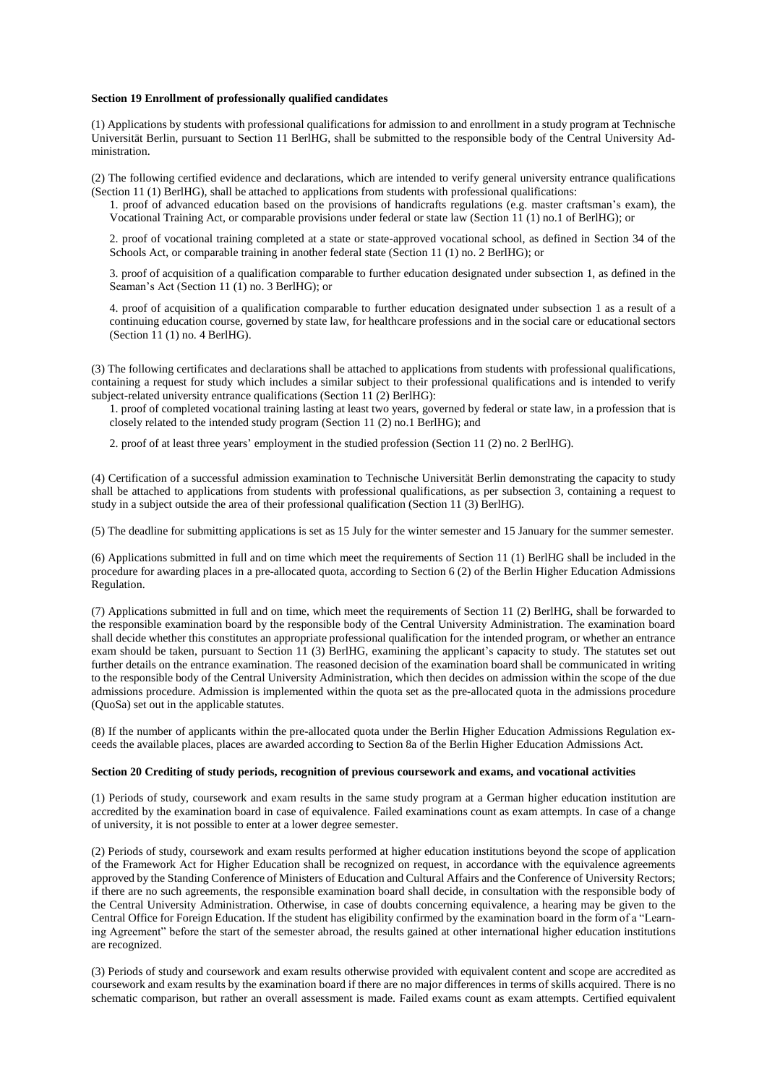#### **Section 19 Enrollment of professionally qualified candidates**

(1) Applications by students with professional qualifications for admission to and enrollment in a study program at Technische Universität Berlin, pursuant to Section 11 BerlHG, shall be submitted to the responsible body of the Central University Administration.

(2) The following certified evidence and declarations, which are intended to verify general university entrance qualifications (Section 11 (1) BerlHG), shall be attached to applications from students with professional qualifications:

1. proof of advanced education based on the provisions of handicrafts regulations (e.g. master craftsman's exam), the Vocational Training Act, or comparable provisions under federal or state law (Section 11 (1) no.1 of BerlHG); or

2. proof of vocational training completed at a state or state-approved vocational school, as defined in Section 34 of the Schools Act, or comparable training in another federal state (Section 11 (1) no. 2 BerlHG); or

3. proof of acquisition of a qualification comparable to further education designated under subsection 1, as defined in the Seaman's Act (Section 11 (1) no. 3 BerlHG); or

4. proof of acquisition of a qualification comparable to further education designated under subsection 1 as a result of a continuing education course, governed by state law, for healthcare professions and in the social care or educational sectors (Section  $11(1)$  no. 4 BerlHG).

(3) The following certificates and declarations shall be attached to applications from students with professional qualifications, containing a request for study which includes a similar subject to their professional qualifications and is intended to verify subject-related university entrance qualifications (Section 11 (2) BerlHG):

1. proof of completed vocational training lasting at least two years, governed by federal or state law, in a profession that is closely related to the intended study program (Section 11 (2) no.1 BerlHG); and

2. proof of at least three years' employment in the studied profession (Section 11 (2) no. 2 BerlHG).

(4) Certification of a successful admission examination to Technische Universität Berlin demonstrating the capacity to study shall be attached to applications from students with professional qualifications, as per subsection 3, containing a request to study in a subject outside the area of their professional qualification (Section 11 (3) BerlHG).

(5) The deadline for submitting applications is set as 15 July for the winter semester and 15 January for the summer semester.

(6) Applications submitted in full and on time which meet the requirements of Section 11 (1) BerlHG shall be included in the procedure for awarding places in a pre-allocated quota, according to Section 6 (2) of the Berlin Higher Education Admissions Regulation.

(7) Applications submitted in full and on time, which meet the requirements of Section 11 (2) BerlHG, shall be forwarded to the responsible examination board by the responsible body of the Central University Administration. The examination board shall decide whether this constitutes an appropriate professional qualification for the intended program, or whether an entrance exam should be taken, pursuant to Section 11 (3) BerlHG, examining the applicant's capacity to study. The statutes set out further details on the entrance examination. The reasoned decision of the examination board shall be communicated in writing to the responsible body of the Central University Administration, which then decides on admission within the scope of the due admissions procedure. Admission is implemented within the quota set as the pre-allocated quota in the admissions procedure (QuoSa) set out in the applicable statutes.

(8) If the number of applicants within the pre-allocated quota under the Berlin Higher Education Admissions Regulation exceeds the available places, places are awarded according to Section 8a of the Berlin Higher Education Admissions Act.

#### **Section 20 Crediting of study periods, recognition of previous coursework and exams, and vocational activities**

(1) Periods of study, coursework and exam results in the same study program at a German higher education institution are accredited by the examination board in case of equivalence. Failed examinations count as exam attempts. In case of a change of university, it is not possible to enter at a lower degree semester.

(2) Periods of study, coursework and exam results performed at higher education institutions beyond the scope of application of the Framework Act for Higher Education shall be recognized on request, in accordance with the equivalence agreements approved by the Standing Conference of Ministers of Education and Cultural Affairs and the Conference of University Rectors; if there are no such agreements, the responsible examination board shall decide, in consultation with the responsible body of the Central University Administration. Otherwise, in case of doubts concerning equivalence, a hearing may be given to the Central Office for Foreign Education. If the student has eligibility confirmed by the examination board in the form of a "Learning Agreement" before the start of the semester abroad, the results gained at other international higher education institutions are recognized.

(3) Periods of study and coursework and exam results otherwise provided with equivalent content and scope are accredited as coursework and exam results by the examination board if there are no major differences in terms of skills acquired. There is no schematic comparison, but rather an overall assessment is made. Failed exams count as exam attempts. Certified equivalent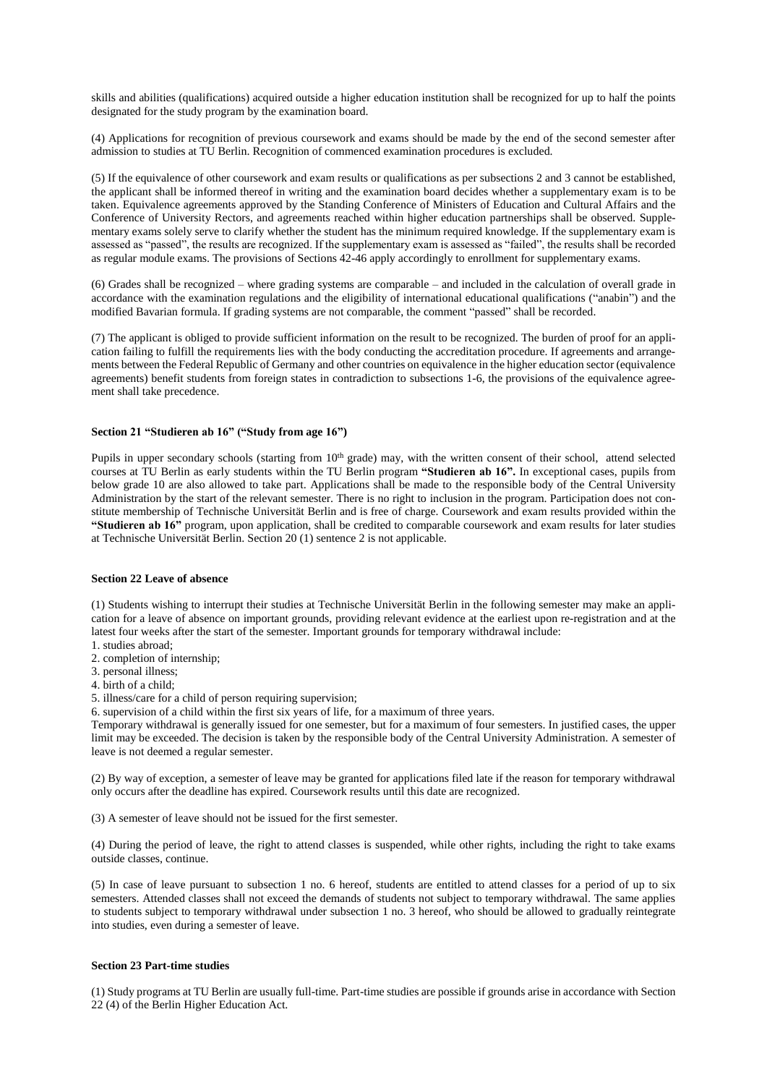skills and abilities (qualifications) acquired outside a higher education institution shall be recognized for up to half the points designated for the study program by the examination board.

(4) Applications for recognition of previous coursework and exams should be made by the end of the second semester after admission to studies at TU Berlin. Recognition of commenced examination procedures is excluded.

(5) If the equivalence of other coursework and exam results or qualifications as per subsections 2 and 3 cannot be established, the applicant shall be informed thereof in writing and the examination board decides whether a supplementary exam is to be taken. Equivalence agreements approved by the Standing Conference of Ministers of Education and Cultural Affairs and the Conference of University Rectors, and agreements reached within higher education partnerships shall be observed. Supplementary exams solely serve to clarify whether the student has the minimum required knowledge. If the supplementary exam is assessed as "passed", the results are recognized. If the supplementary exam is assessed as "failed", the results shall be recorded as regular module exams. The provisions of Sections 42-46 apply accordingly to enrollment for supplementary exams.

(6) Grades shall be recognized – where grading systems are comparable – and included in the calculation of overall grade in accordance with the examination regulations and the eligibility of international educational qualifications ("anabin") and the modified Bavarian formula. If grading systems are not comparable, the comment "passed" shall be recorded.

(7) The applicant is obliged to provide sufficient information on the result to be recognized. The burden of proof for an application failing to fulfill the requirements lies with the body conducting the accreditation procedure. If agreements and arrangements between the Federal Republic of Germany and other countries on equivalence in the higher education sector (equivalence agreements) benefit students from foreign states in contradiction to subsections 1-6, the provisions of the equivalence agreement shall take precedence.

# **Section 21 "Studieren ab 16" ("Study from age 16")**

Pupils in upper secondary schools (starting from 10<sup>th</sup> grade) may, with the written consent of their school, attend selected courses at TU Berlin as early students within the TU Berlin program **"Studieren ab 16".** In exceptional cases, pupils from below grade 10 are also allowed to take part. Applications shall be made to the responsible body of the Central University Administration by the start of the relevant semester. There is no right to inclusion in the program. Participation does not constitute membership of Technische Universität Berlin and is free of charge. Coursework and exam results provided within the **"Studieren ab 16"** program, upon application, shall be credited to comparable coursework and exam results for later studies at Technische Universität Berlin. Section 20 (1) sentence 2 is not applicable.

### **Section 22 Leave of absence**

(1) Students wishing to interrupt their studies at Technische Universität Berlin in the following semester may make an application for a leave of absence on important grounds, providing relevant evidence at the earliest upon re-registration and at the latest four weeks after the start of the semester. Important grounds for temporary withdrawal include:

- 1. studies abroad; 2. completion of internship;
- 3. personal illness;
- 4. birth of a child;
- 5. illness/care for a child of person requiring supervision;

6. supervision of a child within the first six years of life, for a maximum of three years.

Temporary withdrawal is generally issued for one semester, but for a maximum of four semesters. In justified cases, the upper limit may be exceeded. The decision is taken by the responsible body of the Central University Administration. A semester of leave is not deemed a regular semester.

(2) By way of exception, a semester of leave may be granted for applications filed late if the reason for temporary withdrawal only occurs after the deadline has expired. Coursework results until this date are recognized.

(3) A semester of leave should not be issued for the first semester.

(4) During the period of leave, the right to attend classes is suspended, while other rights, including the right to take exams outside classes, continue.

(5) In case of leave pursuant to subsection 1 no. 6 hereof, students are entitled to attend classes for a period of up to six semesters. Attended classes shall not exceed the demands of students not subject to temporary withdrawal. The same applies to students subject to temporary withdrawal under subsection 1 no. 3 hereof, who should be allowed to gradually reintegrate into studies, even during a semester of leave.

## **Section 23 Part-time studies**

(1) Study programs at TU Berlin are usually full-time. Part-time studies are possible if grounds arise in accordance with Section 22 (4) of the Berlin Higher Education Act.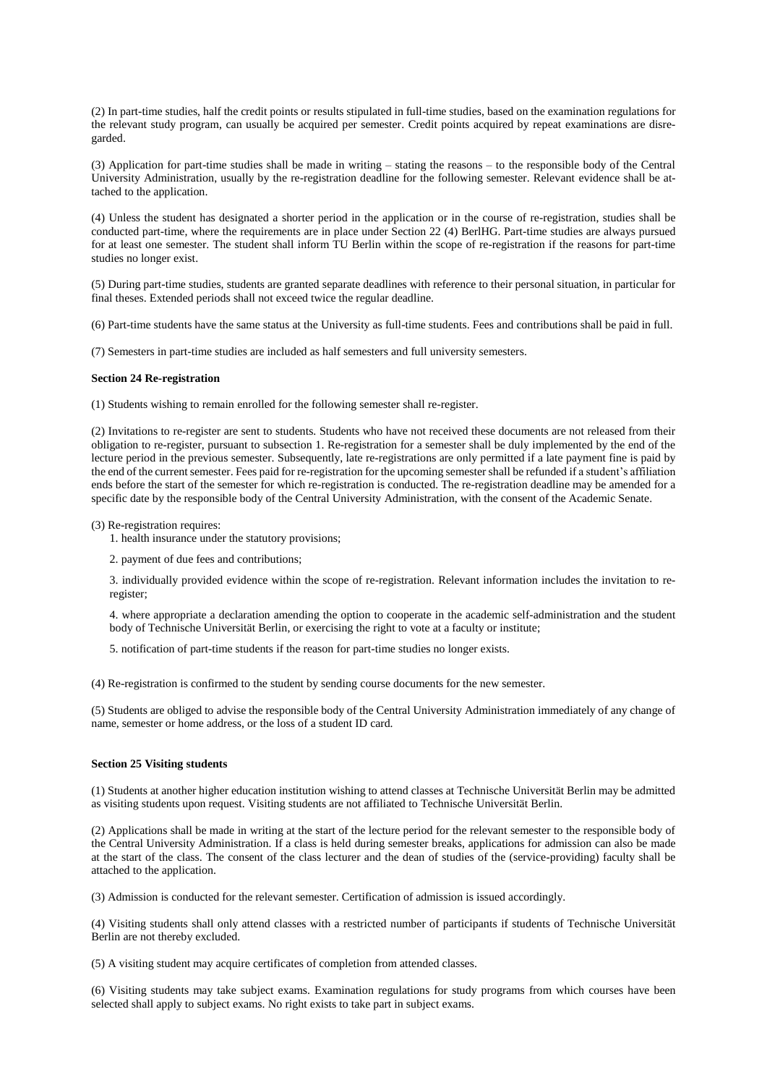(2) In part-time studies, half the credit points or results stipulated in full-time studies, based on the examination regulations for the relevant study program, can usually be acquired per semester. Credit points acquired by repeat examinations are disregarded.

(3) Application for part-time studies shall be made in writing – stating the reasons – to the responsible body of the Central University Administration, usually by the re-registration deadline for the following semester. Relevant evidence shall be attached to the application.

(4) Unless the student has designated a shorter period in the application or in the course of re-registration, studies shall be conducted part-time, where the requirements are in place under Section 22 (4) BerlHG. Part-time studies are always pursued for at least one semester. The student shall inform TU Berlin within the scope of re-registration if the reasons for part-time studies no longer exist.

(5) During part-time studies, students are granted separate deadlines with reference to their personal situation, in particular for final theses. Extended periods shall not exceed twice the regular deadline.

(6) Part-time students have the same status at the University as full-time students. Fees and contributions shall be paid in full.

(7) Semesters in part-time studies are included as half semesters and full university semesters.

#### **Section 24 Re-registration**

(1) Students wishing to remain enrolled for the following semester shall re-register.

(2) Invitations to re-register are sent to students. Students who have not received these documents are not released from their obligation to re-register, pursuant to subsection 1. Re-registration for a semester shall be duly implemented by the end of the lecture period in the previous semester. Subsequently, late re-registrations are only permitted if a late payment fine is paid by the end of the current semester. Fees paid for re-registration for the upcoming semester shall be refunded if a student's affiliation ends before the start of the semester for which re-registration is conducted. The re-registration deadline may be amended for a specific date by the responsible body of the Central University Administration, with the consent of the Academic Senate.

(3) Re-registration requires:

1. health insurance under the statutory provisions;

2. payment of due fees and contributions;

3. individually provided evidence within the scope of re-registration. Relevant information includes the invitation to reregister;

4. where appropriate a declaration amending the option to cooperate in the academic self-administration and the student body of Technische Universität Berlin, or exercising the right to vote at a faculty or institute;

5. notification of part-time students if the reason for part-time studies no longer exists.

(4) Re-registration is confirmed to the student by sending course documents for the new semester.

(5) Students are obliged to advise the responsible body of the Central University Administration immediately of any change of name, semester or home address, or the loss of a student ID card.

## **Section 25 Visiting students**

(1) Students at another higher education institution wishing to attend classes at Technische Universität Berlin may be admitted as visiting students upon request. Visiting students are not affiliated to Technische Universität Berlin.

(2) Applications shall be made in writing at the start of the lecture period for the relevant semester to the responsible body of the Central University Administration. If a class is held during semester breaks, applications for admission can also be made at the start of the class. The consent of the class lecturer and the dean of studies of the (service-providing) faculty shall be attached to the application.

(3) Admission is conducted for the relevant semester. Certification of admission is issued accordingly.

(4) Visiting students shall only attend classes with a restricted number of participants if students of Technische Universität Berlin are not thereby excluded.

(5) A visiting student may acquire certificates of completion from attended classes.

(6) Visiting students may take subject exams. Examination regulations for study programs from which courses have been selected shall apply to subject exams. No right exists to take part in subject exams.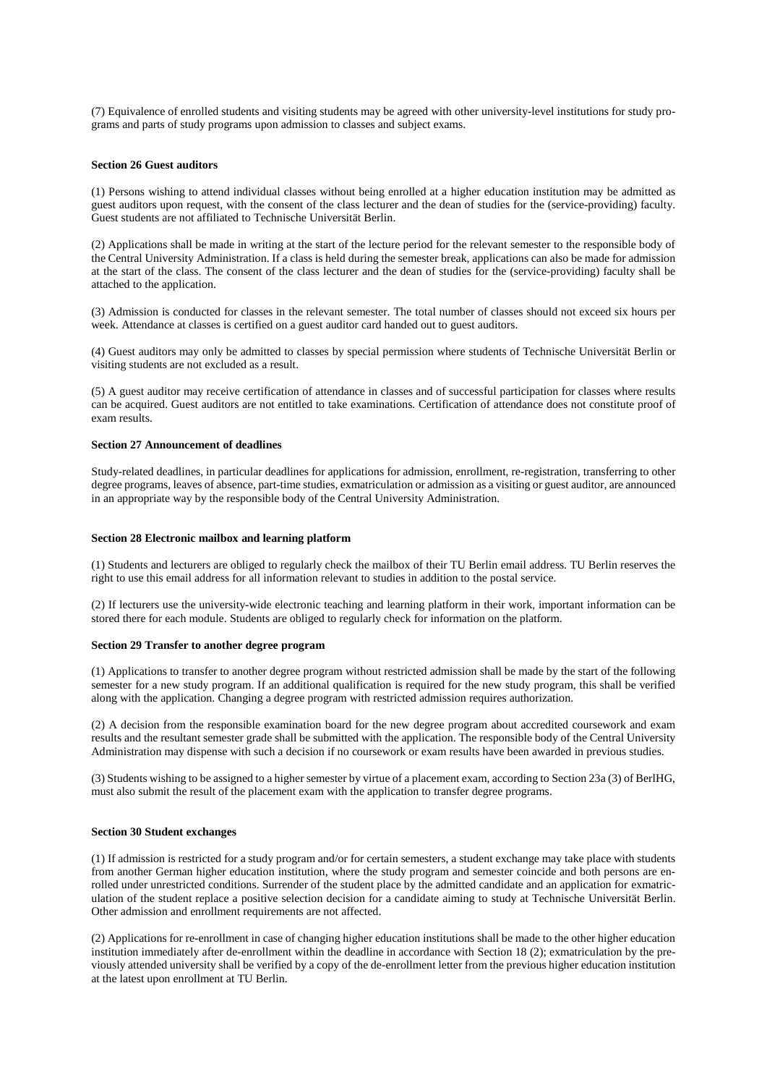(7) Equivalence of enrolled students and visiting students may be agreed with other university-level institutions for study programs and parts of study programs upon admission to classes and subject exams.

### **Section 26 Guest auditors**

(1) Persons wishing to attend individual classes without being enrolled at a higher education institution may be admitted as guest auditors upon request, with the consent of the class lecturer and the dean of studies for the (service-providing) faculty. Guest students are not affiliated to Technische Universität Berlin.

(2) Applications shall be made in writing at the start of the lecture period for the relevant semester to the responsible body of the Central University Administration. If a class is held during the semester break, applications can also be made for admission at the start of the class. The consent of the class lecturer and the dean of studies for the (service-providing) faculty shall be attached to the application.

(3) Admission is conducted for classes in the relevant semester. The total number of classes should not exceed six hours per week. Attendance at classes is certified on a guest auditor card handed out to guest auditors.

(4) Guest auditors may only be admitted to classes by special permission where students of Technische Universität Berlin or visiting students are not excluded as a result.

(5) A guest auditor may receive certification of attendance in classes and of successful participation for classes where results can be acquired. Guest auditors are not entitled to take examinations. Certification of attendance does not constitute proof of exam results.

# **Section 27 Announcement of deadlines**

Study-related deadlines, in particular deadlines for applications for admission, enrollment, re-registration, transferring to other degree programs, leaves of absence, part-time studies, exmatriculation or admission as a visiting or guest auditor, are announced in an appropriate way by the responsible body of the Central University Administration.

#### **Section 28 Electronic mailbox and learning platform**

(1) Students and lecturers are obliged to regularly check the mailbox of their TU Berlin email address. TU Berlin reserves the right to use this email address for all information relevant to studies in addition to the postal service.

(2) If lecturers use the university-wide electronic teaching and learning platform in their work, important information can be stored there for each module. Students are obliged to regularly check for information on the platform.

### **Section 29 Transfer to another degree program**

(1) Applications to transfer to another degree program without restricted admission shall be made by the start of the following semester for a new study program. If an additional qualification is required for the new study program, this shall be verified along with the application. Changing a degree program with restricted admission requires authorization.

(2) A decision from the responsible examination board for the new degree program about accredited coursework and exam results and the resultant semester grade shall be submitted with the application. The responsible body of the Central University Administration may dispense with such a decision if no coursework or exam results have been awarded in previous studies.

(3) Students wishing to be assigned to a higher semester by virtue of a placement exam, according to Section 23a (3) of BerlHG, must also submit the result of the placement exam with the application to transfer degree programs.

### **Section 30 Student exchanges**

(1) If admission is restricted for a study program and/or for certain semesters, a student exchange may take place with students from another German higher education institution, where the study program and semester coincide and both persons are enrolled under unrestricted conditions. Surrender of the student place by the admitted candidate and an application for exmatriculation of the student replace a positive selection decision for a candidate aiming to study at Technische Universität Berlin. Other admission and enrollment requirements are not affected.

(2) Applications for re-enrollment in case of changing higher education institutions shall be made to the other higher education institution immediately after de-enrollment within the deadline in accordance with Section 18 (2); exmatriculation by the previously attended university shall be verified by a copy of the de-enrollment letter from the previous higher education institution at the latest upon enrollment at TU Berlin.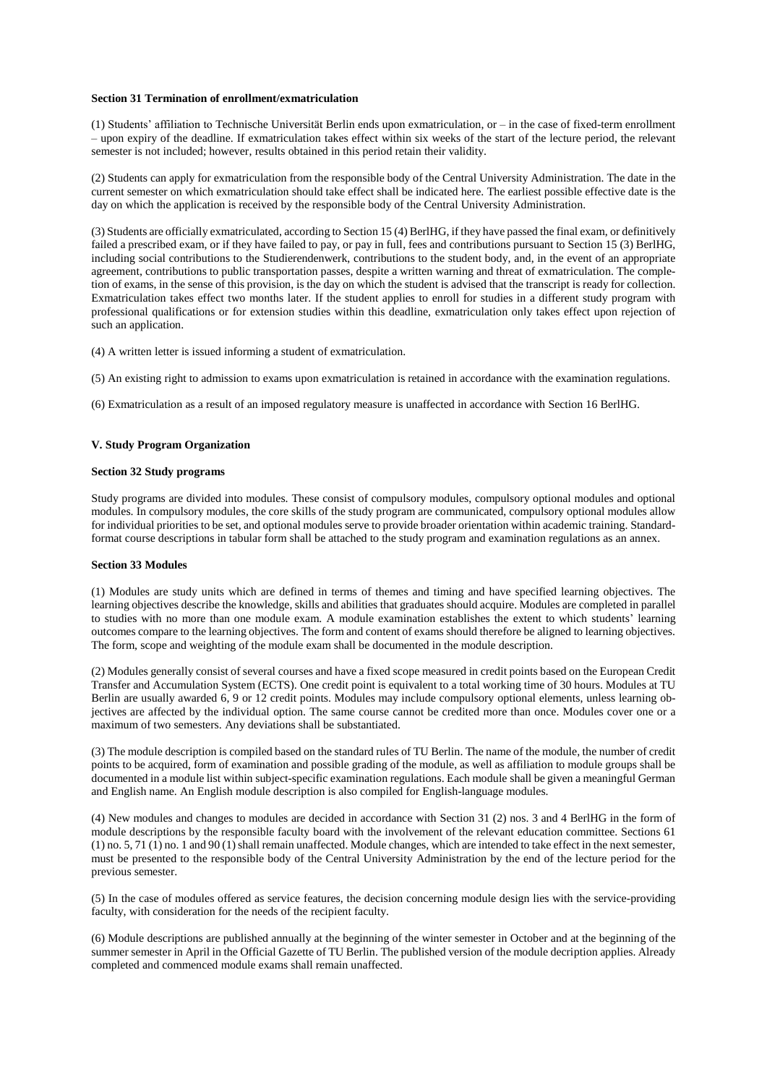## **Section 31 Termination of enrollment/exmatriculation**

(1) Students' affiliation to Technische Universität Berlin ends upon exmatriculation, or – in the case of fixed-term enrollment – upon expiry of the deadline. If exmatriculation takes effect within six weeks of the start of the lecture period, the relevant semester is not included; however, results obtained in this period retain their validity.

(2) Students can apply for exmatriculation from the responsible body of the Central University Administration. The date in the current semester on which exmatriculation should take effect shall be indicated here. The earliest possible effective date is the day on which the application is received by the responsible body of the Central University Administration.

(3) Students are officially exmatriculated, according to Section 15 (4) BerlHG, if they have passed the final exam, or definitively failed a prescribed exam, or if they have failed to pay, or pay in full, fees and contributions pursuant to Section 15 (3) BerlHG, including social contributions to the Studierendenwerk, contributions to the student body, and, in the event of an appropriate agreement, contributions to public transportation passes, despite a written warning and threat of exmatriculation. The completion of exams, in the sense of this provision, is the day on which the student is advised that the transcript is ready for collection. Exmatriculation takes effect two months later. If the student applies to enroll for studies in a different study program with professional qualifications or for extension studies within this deadline, exmatriculation only takes effect upon rejection of such an application.

(4) A written letter is issued informing a student of exmatriculation.

(5) An existing right to admission to exams upon exmatriculation is retained in accordance with the examination regulations.

(6) Exmatriculation as a result of an imposed regulatory measure is unaffected in accordance with Section 16 BerlHG.

## **V. Study Program Organization**

## **Section 32 Study programs**

Study programs are divided into modules. These consist of compulsory modules, compulsory optional modules and optional modules. In compulsory modules, the core skills of the study program are communicated, compulsory optional modules allow for individual priorities to be set, and optional modules serve to provide broader orientation within academic training. Standardformat course descriptions in tabular form shall be attached to the study program and examination regulations as an annex.

## **Section 33 Modules**

(1) Modules are study units which are defined in terms of themes and timing and have specified learning objectives. The learning objectives describe the knowledge, skills and abilities that graduates should acquire. Modules are completed in parallel to studies with no more than one module exam. A module examination establishes the extent to which students' learning outcomes compare to the learning objectives. The form and content of exams should therefore be aligned to learning objectives. The form, scope and weighting of the module exam shall be documented in the module description.

(2) Modules generally consist of several courses and have a fixed scope measured in credit points based on the European Credit Transfer and Accumulation System (ECTS). One credit point is equivalent to a total working time of 30 hours. Modules at TU Berlin are usually awarded 6, 9 or 12 credit points. Modules may include compulsory optional elements, unless learning objectives are affected by the individual option. The same course cannot be credited more than once. Modules cover one or a maximum of two semesters. Any deviations shall be substantiated.

(3) The module description is compiled based on the standard rules of TU Berlin. The name of the module, the number of credit points to be acquired, form of examination and possible grading of the module, as well as affiliation to module groups shall be documented in a module list within subject-specific examination regulations. Each module shall be given a meaningful German and English name. An English module description is also compiled for English-language modules.

(4) New modules and changes to modules are decided in accordance with Section 31 (2) nos. 3 and 4 BerlHG in the form of module descriptions by the responsible faculty board with the involvement of the relevant education committee. Sections 61 (1) no. 5, 71 (1) no. 1 and 90 (1) shall remain unaffected. Module changes, which are intended to take effect in the next semester, must be presented to the responsible body of the Central University Administration by the end of the lecture period for the previous semester.

(5) In the case of modules offered as service features, the decision concerning module design lies with the service-providing faculty, with consideration for the needs of the recipient faculty.

(6) Module descriptions are published annually at the beginning of the winter semester in October and at the beginning of the summer semester in April in the Official Gazette of TU Berlin. The published version of the module decription applies. Already completed and commenced module exams shall remain unaffected.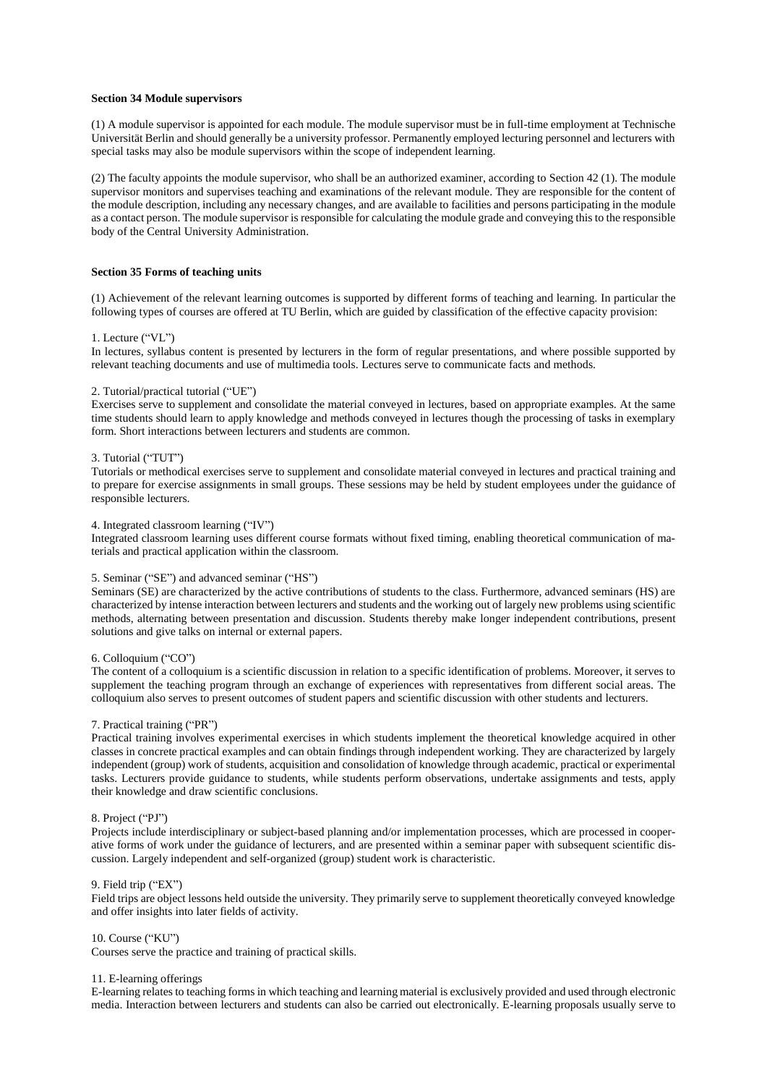## **Section 34 Module supervisors**

(1) A module supervisor is appointed for each module. The module supervisor must be in full-time employment at Technische Universität Berlin and should generally be a university professor. Permanently employed lecturing personnel and lecturers with special tasks may also be module supervisors within the scope of independent learning.

(2) The faculty appoints the module supervisor, who shall be an authorized examiner, according to Section 42 (1). The module supervisor monitors and supervises teaching and examinations of the relevant module. They are responsible for the content of the module description, including any necessary changes, and are available to facilities and persons participating in the module as a contact person. The module supervisor is responsible for calculating the module grade and conveying this to the responsible body of the Central University Administration.

## **Section 35 Forms of teaching units**

(1) Achievement of the relevant learning outcomes is supported by different forms of teaching and learning. In particular the following types of courses are offered at TU Berlin, which are guided by classification of the effective capacity provision:

#### 1. Lecture ("VL")

In lectures, syllabus content is presented by lecturers in the form of regular presentations, and where possible supported by relevant teaching documents and use of multimedia tools. Lectures serve to communicate facts and methods.

## 2. Tutorial/practical tutorial ("UE")

Exercises serve to supplement and consolidate the material conveyed in lectures, based on appropriate examples. At the same time students should learn to apply knowledge and methods conveyed in lectures though the processing of tasks in exemplary form. Short interactions between lecturers and students are common.

## 3. Tutorial ("TUT")

Tutorials or methodical exercises serve to supplement and consolidate material conveyed in lectures and practical training and to prepare for exercise assignments in small groups. These sessions may be held by student employees under the guidance of responsible lecturers.

#### 4. Integrated classroom learning ("IV")

Integrated classroom learning uses different course formats without fixed timing, enabling theoretical communication of materials and practical application within the classroom.

### 5. Seminar ("SE") and advanced seminar ("HS")

Seminars (SE) are characterized by the active contributions of students to the class. Furthermore, advanced seminars (HS) are characterized by intense interaction between lecturers and students and the working out of largely new problems using scientific methods, alternating between presentation and discussion. Students thereby make longer independent contributions, present solutions and give talks on internal or external papers.

#### 6. Colloquium ("CO")

The content of a colloquium is a scientific discussion in relation to a specific identification of problems. Moreover, it serves to supplement the teaching program through an exchange of experiences with representatives from different social areas. The colloquium also serves to present outcomes of student papers and scientific discussion with other students and lecturers.

#### 7. Practical training ("PR")

Practical training involves experimental exercises in which students implement the theoretical knowledge acquired in other classes in concrete practical examples and can obtain findings through independent working. They are characterized by largely independent (group) work of students, acquisition and consolidation of knowledge through academic, practical or experimental tasks. Lecturers provide guidance to students, while students perform observations, undertake assignments and tests, apply their knowledge and draw scientific conclusions.

#### 8. Project ("PJ")

Projects include interdisciplinary or subject-based planning and/or implementation processes, which are processed in cooperative forms of work under the guidance of lecturers, and are presented within a seminar paper with subsequent scientific discussion. Largely independent and self-organized (group) student work is characteristic.

### 9. Field trip ("EX")

Field trips are object lessons held outside the university. They primarily serve to supplement theoretically conveyed knowledge and offer insights into later fields of activity.

## 10. Course ("KU")

Courses serve the practice and training of practical skills.

#### 11. E-learning offerings

E-learning relates to teaching forms in which teaching and learning material is exclusively provided and used through electronic media. Interaction between lecturers and students can also be carried out electronically. E-learning proposals usually serve to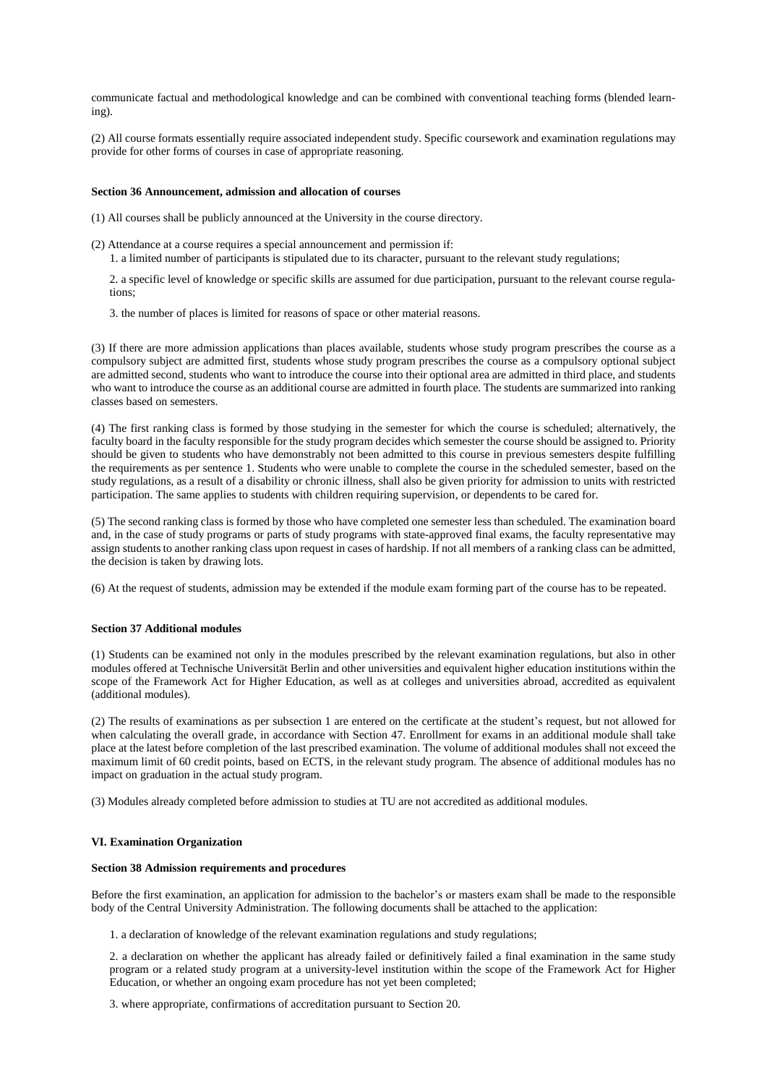communicate factual and methodological knowledge and can be combined with conventional teaching forms (blended learning).

(2) All course formats essentially require associated independent study. Specific coursework and examination regulations may provide for other forms of courses in case of appropriate reasoning.

#### **Section 36 Announcement, admission and allocation of courses**

- (1) All courses shall be publicly announced at the University in the course directory.
- (2) Attendance at a course requires a special announcement and permission if:
	- 1. a limited number of participants is stipulated due to its character, pursuant to the relevant study regulations;

2. a specific level of knowledge or specific skills are assumed for due participation, pursuant to the relevant course regulations;

3. the number of places is limited for reasons of space or other material reasons.

(3) If there are more admission applications than places available, students whose study program prescribes the course as a compulsory subject are admitted first, students whose study program prescribes the course as a compulsory optional subject are admitted second, students who want to introduce the course into their optional area are admitted in third place, and students who want to introduce the course as an additional course are admitted in fourth place. The students are summarized into ranking classes based on semesters.

(4) The first ranking class is formed by those studying in the semester for which the course is scheduled; alternatively, the faculty board in the faculty responsible for the study program decides which semester the course should be assigned to. Priority should be given to students who have demonstrably not been admitted to this course in previous semesters despite fulfilling the requirements as per sentence 1. Students who were unable to complete the course in the scheduled semester, based on the study regulations, as a result of a disability or chronic illness, shall also be given priority for admission to units with restricted participation. The same applies to students with children requiring supervision, or dependents to be cared for.

(5) The second ranking class is formed by those who have completed one semester less than scheduled. The examination board and, in the case of study programs or parts of study programs with state-approved final exams, the faculty representative may assign students to another ranking class upon request in cases of hardship. If not all members of a ranking class can be admitted, the decision is taken by drawing lots.

(6) At the request of students, admission may be extended if the module exam forming part of the course has to be repeated.

## **Section 37 Additional modules**

(1) Students can be examined not only in the modules prescribed by the relevant examination regulations, but also in other modules offered at Technische Universität Berlin and other universities and equivalent higher education institutions within the scope of the Framework Act for Higher Education, as well as at colleges and universities abroad, accredited as equivalent (additional modules).

(2) The results of examinations as per subsection 1 are entered on the certificate at the student's request, but not allowed for when calculating the overall grade, in accordance with Section 47. Enrollment for exams in an additional module shall take place at the latest before completion of the last prescribed examination. The volume of additional modules shall not exceed the maximum limit of 60 credit points, based on ECTS, in the relevant study program. The absence of additional modules has no impact on graduation in the actual study program.

(3) Modules already completed before admission to studies at TU are not accredited as additional modules.

## **VI. Examination Organization**

### **Section 38 Admission requirements and procedures**

Before the first examination, an application for admission to the bachelor's or masters exam shall be made to the responsible body of the Central University Administration. The following documents shall be attached to the application:

1. a declaration of knowledge of the relevant examination regulations and study regulations;

2. a declaration on whether the applicant has already failed or definitively failed a final examination in the same study program or a related study program at a university-level institution within the scope of the Framework Act for Higher Education, or whether an ongoing exam procedure has not yet been completed;

3. where appropriate, confirmations of accreditation pursuant to Section 20.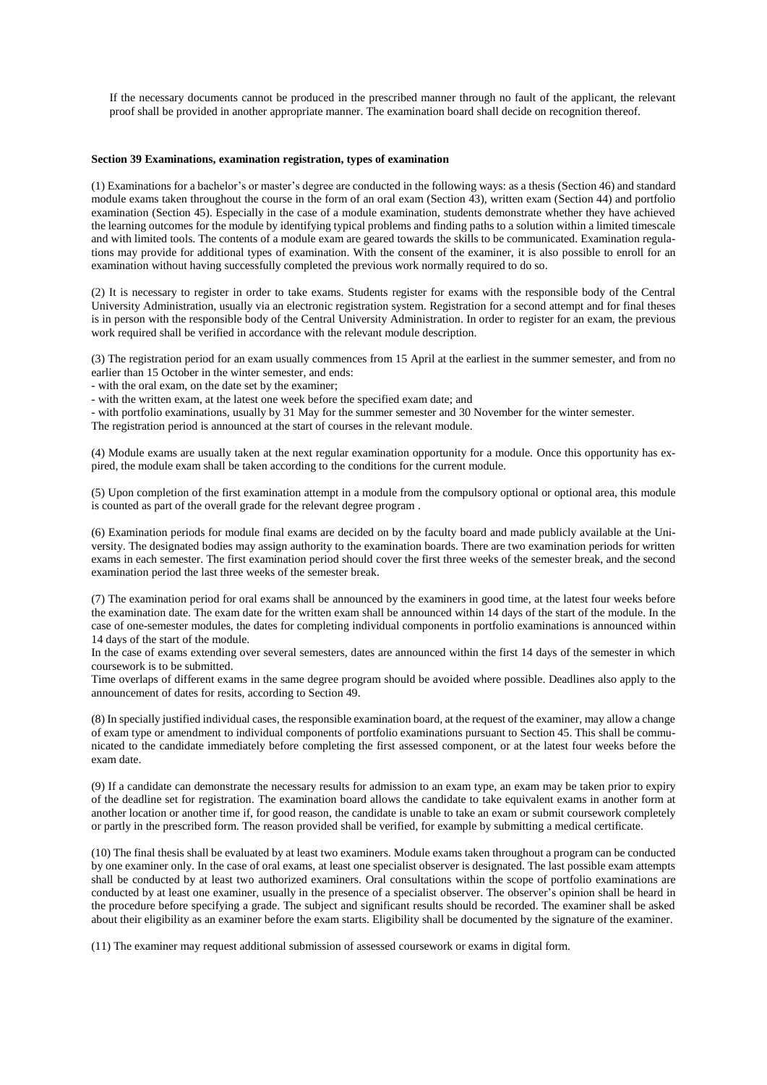If the necessary documents cannot be produced in the prescribed manner through no fault of the applicant, the relevant proof shall be provided in another appropriate manner. The examination board shall decide on recognition thereof.

#### **Section 39 Examinations, examination registration, types of examination**

(1) Examinations for a bachelor's or master's degree are conducted in the following ways: as a thesis (Section 46) and standard module exams taken throughout the course in the form of an oral exam (Section 43), written exam (Section 44) and portfolio examination (Section 45). Especially in the case of a module examination, students demonstrate whether they have achieved the learning outcomes for the module by identifying typical problems and finding paths to a solution within a limited timescale and with limited tools. The contents of a module exam are geared towards the skills to be communicated. Examination regulations may provide for additional types of examination. With the consent of the examiner, it is also possible to enroll for an examination without having successfully completed the previous work normally required to do so.

(2) It is necessary to register in order to take exams. Students register for exams with the responsible body of the Central University Administration, usually via an electronic registration system. Registration for a second attempt and for final theses is in person with the responsible body of the Central University Administration. In order to register for an exam, the previous work required shall be verified in accordance with the relevant module description.

(3) The registration period for an exam usually commences from 15 April at the earliest in the summer semester, and from no earlier than 15 October in the winter semester, and ends:

- with the oral exam, on the date set by the examiner;

- with the written exam, at the latest one week before the specified exam date; and

- with portfolio examinations, usually by 31 May for the summer semester and 30 November for the winter semester.

The registration period is announced at the start of courses in the relevant module.

(4) Module exams are usually taken at the next regular examination opportunity for a module. Once this opportunity has expired, the module exam shall be taken according to the conditions for the current module.

(5) Upon completion of the first examination attempt in a module from the compulsory optional or optional area, this module is counted as part of the overall grade for the relevant degree program .

(6) Examination periods for module final exams are decided on by the faculty board and made publicly available at the University. The designated bodies may assign authority to the examination boards. There are two examination periods for written exams in each semester. The first examination period should cover the first three weeks of the semester break, and the second examination period the last three weeks of the semester break.

(7) The examination period for oral exams shall be announced by the examiners in good time, at the latest four weeks before the examination date. The exam date for the written exam shall be announced within 14 days of the start of the module. In the case of one-semester modules, the dates for completing individual components in portfolio examinations is announced within 14 days of the start of the module.

In the case of exams extending over several semesters, dates are announced within the first 14 days of the semester in which coursework is to be submitted.

Time overlaps of different exams in the same degree program should be avoided where possible. Deadlines also apply to the announcement of dates for resits, according to Section 49.

(8) In specially justified individual cases, the responsible examination board, at the request of the examiner, may allow a change of exam type or amendment to individual components of portfolio examinations pursuant to Section 45. This shall be communicated to the candidate immediately before completing the first assessed component, or at the latest four weeks before the exam date.

(9) If a candidate can demonstrate the necessary results for admission to an exam type, an exam may be taken prior to expiry of the deadline set for registration. The examination board allows the candidate to take equivalent exams in another form at another location or another time if, for good reason, the candidate is unable to take an exam or submit coursework completely or partly in the prescribed form. The reason provided shall be verified, for example by submitting a medical certificate.

(10) The final thesis shall be evaluated by at least two examiners. Module exams taken throughout a program can be conducted by one examiner only. In the case of oral exams, at least one specialist observer is designated. The last possible exam attempts shall be conducted by at least two authorized examiners. Oral consultations within the scope of portfolio examinations are conducted by at least one examiner, usually in the presence of a specialist observer. The observer's opinion shall be heard in the procedure before specifying a grade. The subject and significant results should be recorded. The examiner shall be asked about their eligibility as an examiner before the exam starts. Eligibility shall be documented by the signature of the examiner.

(11) The examiner may request additional submission of assessed coursework or exams in digital form.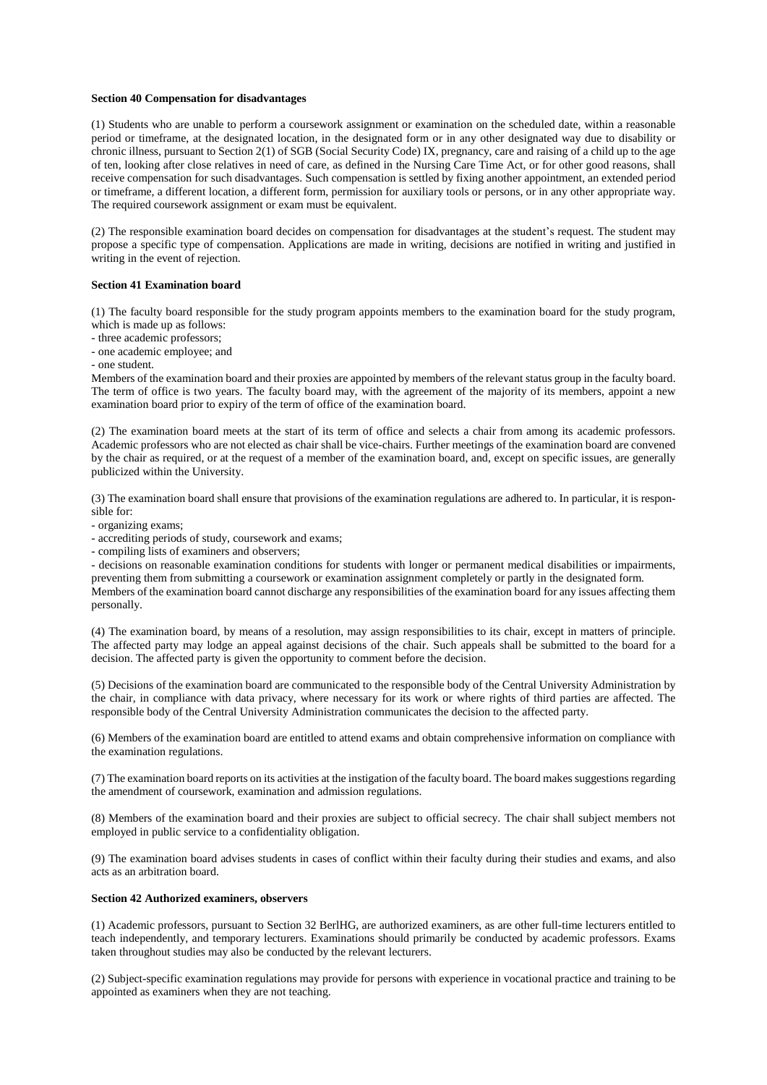## **Section 40 Compensation for disadvantages**

(1) Students who are unable to perform a coursework assignment or examination on the scheduled date, within a reasonable period or timeframe, at the designated location, in the designated form or in any other designated way due to disability or chronic illness, pursuant to Section 2(1) of SGB (Social Security Code) IX, pregnancy, care and raising of a child up to the age of ten, looking after close relatives in need of care, as defined in the Nursing Care Time Act, or for other good reasons, shall receive compensation for such disadvantages. Such compensation is settled by fixing another appointment, an extended period or timeframe, a different location, a different form, permission for auxiliary tools or persons, or in any other appropriate way. The required coursework assignment or exam must be equivalent.

(2) The responsible examination board decides on compensation for disadvantages at the student's request. The student may propose a specific type of compensation. Applications are made in writing, decisions are notified in writing and justified in writing in the event of rejection.

#### **Section 41 Examination board**

(1) The faculty board responsible for the study program appoints members to the examination board for the study program, which is made up as follows:

- three academic professors;
- one academic employee; and
- one student.

Members of the examination board and their proxies are appointed by members of the relevant status group in the faculty board. The term of office is two years. The faculty board may, with the agreement of the majority of its members, appoint a new examination board prior to expiry of the term of office of the examination board.

(2) The examination board meets at the start of its term of office and selects a chair from among its academic professors. Academic professors who are not elected as chair shall be vice-chairs. Further meetings of the examination board are convened by the chair as required, or at the request of a member of the examination board, and, except on specific issues, are generally publicized within the University.

(3) The examination board shall ensure that provisions of the examination regulations are adhered to. In particular, it is responsible for:

- organizing exams;

- accrediting periods of study, coursework and exams;

- compiling lists of examiners and observers;

- decisions on reasonable examination conditions for students with longer or permanent medical disabilities or impairments, preventing them from submitting a coursework or examination assignment completely or partly in the designated form.

Members of the examination board cannot discharge any responsibilities of the examination board for any issues affecting them personally.

(4) The examination board, by means of a resolution, may assign responsibilities to its chair, except in matters of principle. The affected party may lodge an appeal against decisions of the chair. Such appeals shall be submitted to the board for a decision. The affected party is given the opportunity to comment before the decision.

(5) Decisions of the examination board are communicated to the responsible body of the Central University Administration by the chair, in compliance with data privacy, where necessary for its work or where rights of third parties are affected. The responsible body of the Central University Administration communicates the decision to the affected party.

(6) Members of the examination board are entitled to attend exams and obtain comprehensive information on compliance with the examination regulations.

(7) The examination board reports on its activities at the instigation of the faculty board. The board makes suggestions regarding the amendment of coursework, examination and admission regulations.

(8) Members of the examination board and their proxies are subject to official secrecy. The chair shall subject members not employed in public service to a confidentiality obligation.

(9) The examination board advises students in cases of conflict within their faculty during their studies and exams, and also acts as an arbitration board.

## **Section 42 Authorized examiners, observers**

(1) Academic professors, pursuant to Section 32 BerlHG, are authorized examiners, as are other full-time lecturers entitled to teach independently, and temporary lecturers. Examinations should primarily be conducted by academic professors. Exams taken throughout studies may also be conducted by the relevant lecturers.

(2) Subject-specific examination regulations may provide for persons with experience in vocational practice and training to be appointed as examiners when they are not teaching.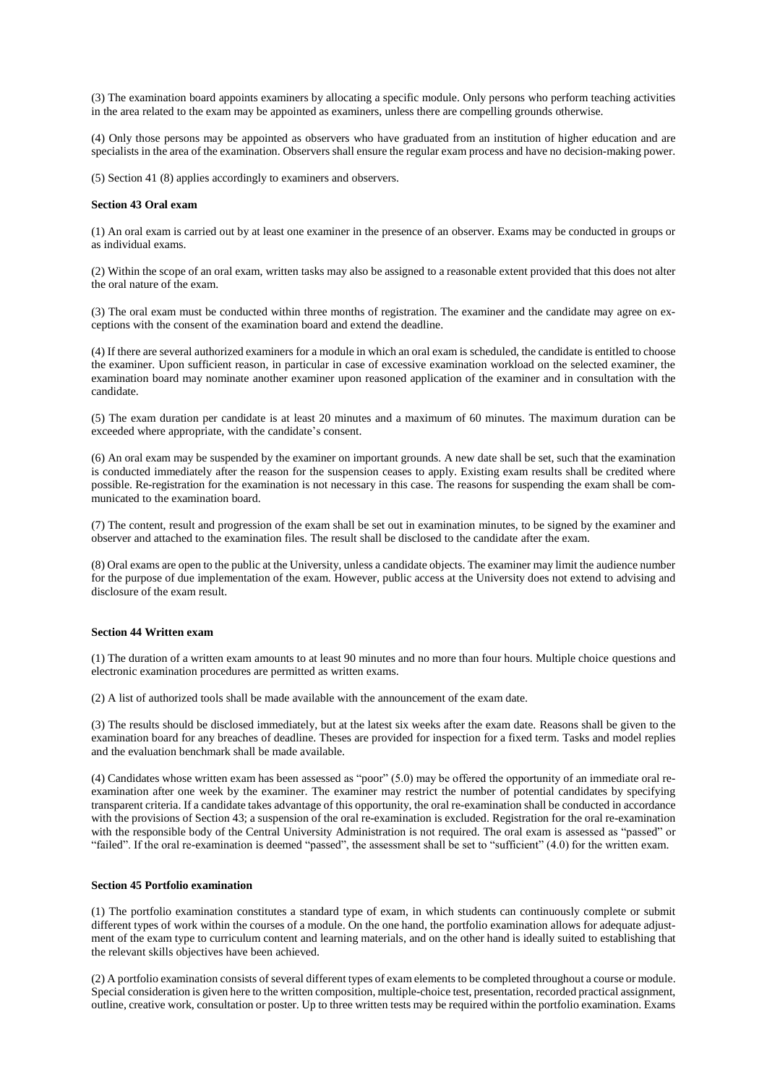(3) The examination board appoints examiners by allocating a specific module. Only persons who perform teaching activities in the area related to the exam may be appointed as examiners, unless there are compelling grounds otherwise.

(4) Only those persons may be appointed as observers who have graduated from an institution of higher education and are specialists in the area of the examination. Observers shall ensure the regular exam process and have no decision-making power.

(5) Section 41 (8) applies accordingly to examiners and observers.

### **Section 43 Oral exam**

(1) An oral exam is carried out by at least one examiner in the presence of an observer. Exams may be conducted in groups or as individual exams.

(2) Within the scope of an oral exam, written tasks may also be assigned to a reasonable extent provided that this does not alter the oral nature of the exam.

(3) The oral exam must be conducted within three months of registration. The examiner and the candidate may agree on exceptions with the consent of the examination board and extend the deadline.

(4) If there are several authorized examiners for a module in which an oral exam is scheduled, the candidate is entitled to choose the examiner. Upon sufficient reason, in particular in case of excessive examination workload on the selected examiner, the examination board may nominate another examiner upon reasoned application of the examiner and in consultation with the candidate.

(5) The exam duration per candidate is at least 20 minutes and a maximum of 60 minutes. The maximum duration can be exceeded where appropriate, with the candidate's consent.

(6) An oral exam may be suspended by the examiner on important grounds. A new date shall be set, such that the examination is conducted immediately after the reason for the suspension ceases to apply. Existing exam results shall be credited where possible. Re-registration for the examination is not necessary in this case. The reasons for suspending the exam shall be communicated to the examination board.

(7) The content, result and progression of the exam shall be set out in examination minutes, to be signed by the examiner and observer and attached to the examination files. The result shall be disclosed to the candidate after the exam.

(8) Oral exams are open to the public at the University, unless a candidate objects. The examiner may limit the audience number for the purpose of due implementation of the exam. However, public access at the University does not extend to advising and disclosure of the exam result.

# **Section 44 Written exam**

(1) The duration of a written exam amounts to at least 90 minutes and no more than four hours. Multiple choice questions and electronic examination procedures are permitted as written exams.

(2) A list of authorized tools shall be made available with the announcement of the exam date.

(3) The results should be disclosed immediately, but at the latest six weeks after the exam date. Reasons shall be given to the examination board for any breaches of deadline. Theses are provided for inspection for a fixed term. Tasks and model replies and the evaluation benchmark shall be made available.

(4) Candidates whose written exam has been assessed as "poor" (5.0) may be offered the opportunity of an immediate oral reexamination after one week by the examiner. The examiner may restrict the number of potential candidates by specifying transparent criteria. If a candidate takes advantage of this opportunity, the oral re-examination shall be conducted in accordance with the provisions of Section 43; a suspension of the oral re-examination is excluded. Registration for the oral re-examination with the responsible body of the Central University Administration is not required. The oral exam is assessed as "passed" or "failed". If the oral re-examination is deemed "passed", the assessment shall be set to "sufficient" (4.0) for the written exam.

## **Section 45 Portfolio examination**

(1) The portfolio examination constitutes a standard type of exam, in which students can continuously complete or submit different types of work within the courses of a module. On the one hand, the portfolio examination allows for adequate adjustment of the exam type to curriculum content and learning materials, and on the other hand is ideally suited to establishing that the relevant skills objectives have been achieved.

(2) A portfolio examination consists of several different types of exam elements to be completed throughout a course or module. Special consideration is given here to the written composition, multiple-choice test, presentation, recorded practical assignment, outline, creative work, consultation or poster. Up to three written tests may be required within the portfolio examination. Exams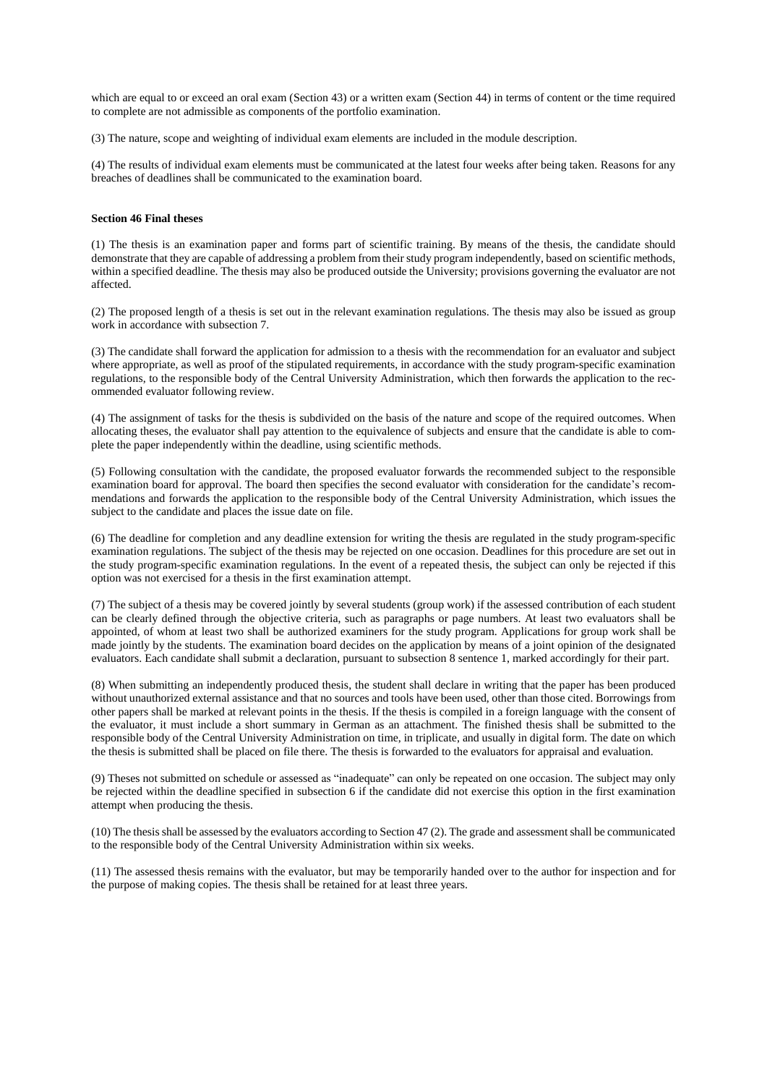which are equal to or exceed an oral exam (Section 43) or a written exam (Section 44) in terms of content or the time required to complete are not admissible as components of the portfolio examination.

(3) The nature, scope and weighting of individual exam elements are included in the module description.

(4) The results of individual exam elements must be communicated at the latest four weeks after being taken. Reasons for any breaches of deadlines shall be communicated to the examination board.

## **Section 46 Final theses**

(1) The thesis is an examination paper and forms part of scientific training. By means of the thesis, the candidate should demonstrate that they are capable of addressing a problem from their study program independently, based on scientific methods, within a specified deadline. The thesis may also be produced outside the University; provisions governing the evaluator are not affected.

(2) The proposed length of a thesis is set out in the relevant examination regulations. The thesis may also be issued as group work in accordance with subsection 7.

(3) The candidate shall forward the application for admission to a thesis with the recommendation for an evaluator and subject where appropriate, as well as proof of the stipulated requirements, in accordance with the study program-specific examination regulations, to the responsible body of the Central University Administration, which then forwards the application to the recommended evaluator following review.

(4) The assignment of tasks for the thesis is subdivided on the basis of the nature and scope of the required outcomes. When allocating theses, the evaluator shall pay attention to the equivalence of subjects and ensure that the candidate is able to complete the paper independently within the deadline, using scientific methods.

(5) Following consultation with the candidate, the proposed evaluator forwards the recommended subject to the responsible examination board for approval. The board then specifies the second evaluator with consideration for the candidate's recommendations and forwards the application to the responsible body of the Central University Administration, which issues the subject to the candidate and places the issue date on file.

(6) The deadline for completion and any deadline extension for writing the thesis are regulated in the study program-specific examination regulations. The subject of the thesis may be rejected on one occasion. Deadlines for this procedure are set out in the study program-specific examination regulations. In the event of a repeated thesis, the subject can only be rejected if this option was not exercised for a thesis in the first examination attempt.

(7) The subject of a thesis may be covered jointly by several students (group work) if the assessed contribution of each student can be clearly defined through the objective criteria, such as paragraphs or page numbers. At least two evaluators shall be appointed, of whom at least two shall be authorized examiners for the study program. Applications for group work shall be made jointly by the students. The examination board decides on the application by means of a joint opinion of the designated evaluators. Each candidate shall submit a declaration, pursuant to subsection 8 sentence 1, marked accordingly for their part.

(8) When submitting an independently produced thesis, the student shall declare in writing that the paper has been produced without unauthorized external assistance and that no sources and tools have been used, other than those cited. Borrowings from other papers shall be marked at relevant points in the thesis. If the thesis is compiled in a foreign language with the consent of the evaluator, it must include a short summary in German as an attachment. The finished thesis shall be submitted to the responsible body of the Central University Administration on time, in triplicate, and usually in digital form. The date on which the thesis is submitted shall be placed on file there. The thesis is forwarded to the evaluators for appraisal and evaluation.

(9) Theses not submitted on schedule or assessed as "inadequate" can only be repeated on one occasion. The subject may only be rejected within the deadline specified in subsection 6 if the candidate did not exercise this option in the first examination attempt when producing the thesis.

(10) The thesis shall be assessed by the evaluators according to Section 47 (2). The grade and assessment shall be communicated to the responsible body of the Central University Administration within six weeks.

(11) The assessed thesis remains with the evaluator, but may be temporarily handed over to the author for inspection and for the purpose of making copies. The thesis shall be retained for at least three years.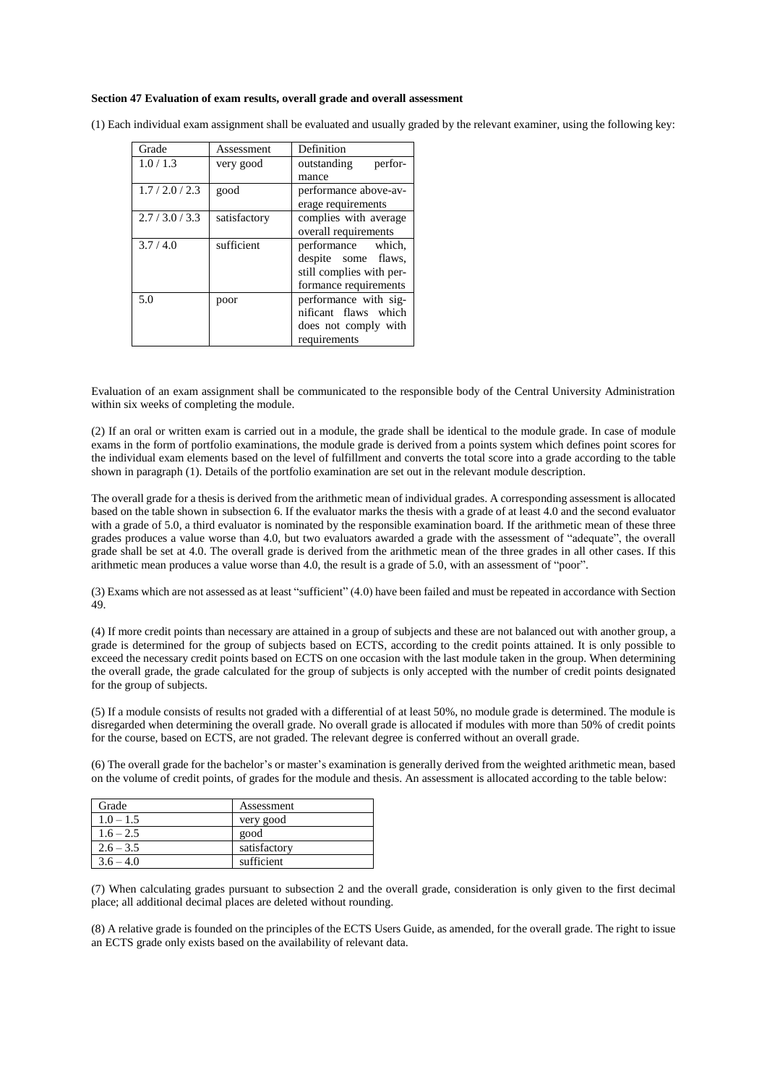#### **Section 47 Evaluation of exam results, overall grade and overall assessment**

| Grade       | Assessment   | Definition               |
|-------------|--------------|--------------------------|
| 1.0/1.3     | very good    | outstanding<br>perfor-   |
|             |              | mance                    |
| 1.7/2.0/2.3 | good         | performance above-av-    |
|             |              | erage requirements       |
| 2.7/3.0/3.3 | satisfactory | complies with average    |
|             |              | overall requirements     |
| 3.7/4.0     | sufficient   | performance<br>which.    |
|             |              | despite some flaws,      |
|             |              | still complies with per- |
|             |              | formance requirements    |
| 5.0         | poor         | performance with sig-    |
|             |              | nificant flaws which     |
|             |              | does not comply with     |
|             |              | requirements             |

(1) Each individual exam assignment shall be evaluated and usually graded by the relevant examiner, using the following key:

Evaluation of an exam assignment shall be communicated to the responsible body of the Central University Administration within six weeks of completing the module.

(2) If an oral or written exam is carried out in a module, the grade shall be identical to the module grade. In case of module exams in the form of portfolio examinations, the module grade is derived from a points system which defines point scores for the individual exam elements based on the level of fulfillment and converts the total score into a grade according to the table shown in paragraph (1). Details of the portfolio examination are set out in the relevant module description.

The overall grade for a thesis is derived from the arithmetic mean of individual grades. A corresponding assessment is allocated based on the table shown in subsection 6. If the evaluator marks the thesis with a grade of at least 4.0 and the second evaluator with a grade of 5.0, a third evaluator is nominated by the responsible examination board. If the arithmetic mean of these three grades produces a value worse than 4.0, but two evaluators awarded a grade with the assessment of "adequate", the overall grade shall be set at 4.0. The overall grade is derived from the arithmetic mean of the three grades in all other cases. If this arithmetic mean produces a value worse than 4.0, the result is a grade of 5.0, with an assessment of "poor".

(3) Exams which are not assessed as at least "sufficient" (4.0) have been failed and must be repeated in accordance with Section 49.

(4) If more credit points than necessary are attained in a group of subjects and these are not balanced out with another group, a grade is determined for the group of subjects based on ECTS, according to the credit points attained. It is only possible to exceed the necessary credit points based on ECTS on one occasion with the last module taken in the group. When determining the overall grade, the grade calculated for the group of subjects is only accepted with the number of credit points designated for the group of subjects.

(5) If a module consists of results not graded with a differential of at least 50%, no module grade is determined. The module is disregarded when determining the overall grade. No overall grade is allocated if modules with more than 50% of credit points for the course, based on ECTS, are not graded. The relevant degree is conferred without an overall grade.

(6) The overall grade for the bachelor's or master's examination is generally derived from the weighted arithmetic mean, based on the volume of credit points, of grades for the module and thesis. An assessment is allocated according to the table below:

| Grade       | Assessment   |
|-------------|--------------|
| $1.0 - 1.5$ | very good    |
| $1.6 - 2.5$ | good         |
| $2.6 - 3.5$ | satisfactory |
| $3.6 - 4.0$ | sufficient   |

(7) When calculating grades pursuant to subsection 2 and the overall grade, consideration is only given to the first decimal place; all additional decimal places are deleted without rounding.

(8) A relative grade is founded on the principles of the ECTS Users Guide, as amended, for the overall grade. The right to issue an ECTS grade only exists based on the availability of relevant data.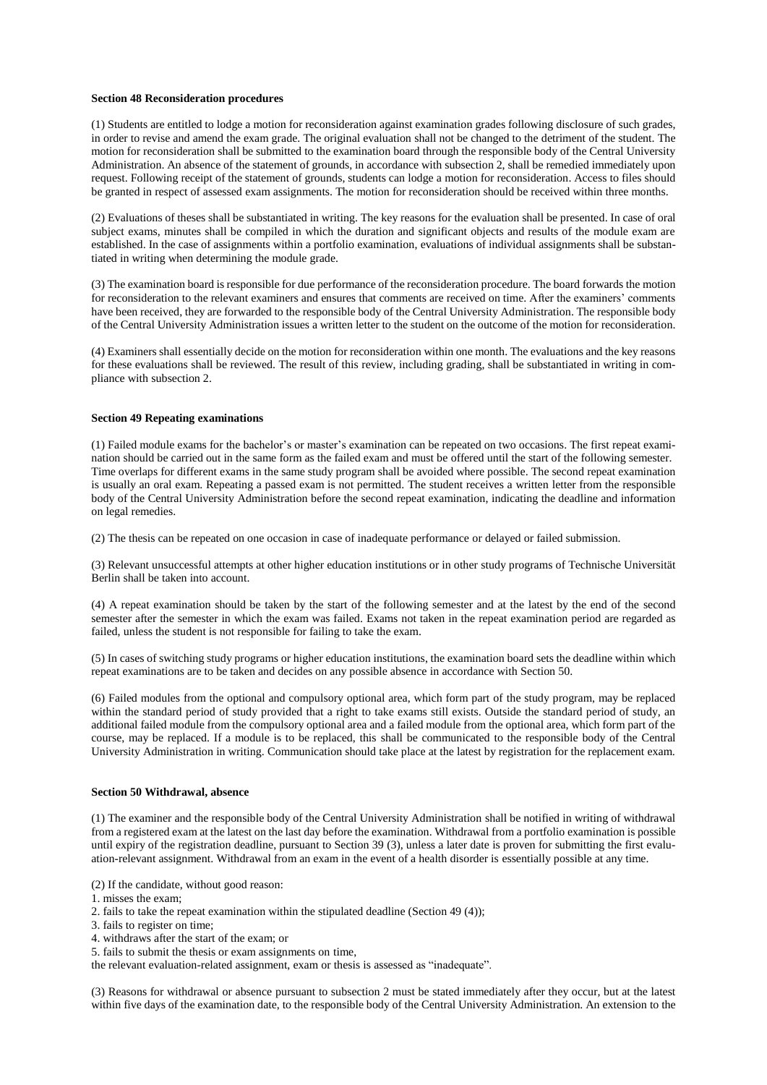### **Section 48 Reconsideration procedures**

(1) Students are entitled to lodge a motion for reconsideration against examination grades following disclosure of such grades, in order to revise and amend the exam grade. The original evaluation shall not be changed to the detriment of the student. The motion for reconsideration shall be submitted to the examination board through the responsible body of the Central University Administration. An absence of the statement of grounds, in accordance with subsection 2, shall be remedied immediately upon request. Following receipt of the statement of grounds, students can lodge a motion for reconsideration. Access to files should be granted in respect of assessed exam assignments. The motion for reconsideration should be received within three months.

(2) Evaluations of theses shall be substantiated in writing. The key reasons for the evaluation shall be presented. In case of oral subject exams, minutes shall be compiled in which the duration and significant objects and results of the module exam are established. In the case of assignments within a portfolio examination, evaluations of individual assignments shall be substantiated in writing when determining the module grade.

(3) The examination board is responsible for due performance of the reconsideration procedure. The board forwards the motion for reconsideration to the relevant examiners and ensures that comments are received on time. After the examiners' comments have been received, they are forwarded to the responsible body of the Central University Administration. The responsible body of the Central University Administration issues a written letter to the student on the outcome of the motion for reconsideration.

(4) Examiners shall essentially decide on the motion for reconsideration within one month. The evaluations and the key reasons for these evaluations shall be reviewed. The result of this review, including grading, shall be substantiated in writing in compliance with subsection 2.

#### **Section 49 Repeating examinations**

(1) Failed module exams for the bachelor's or master's examination can be repeated on two occasions. The first repeat examination should be carried out in the same form as the failed exam and must be offered until the start of the following semester. Time overlaps for different exams in the same study program shall be avoided where possible. The second repeat examination is usually an oral exam. Repeating a passed exam is not permitted. The student receives a written letter from the responsible body of the Central University Administration before the second repeat examination, indicating the deadline and information on legal remedies.

(2) The thesis can be repeated on one occasion in case of inadequate performance or delayed or failed submission.

(3) Relevant unsuccessful attempts at other higher education institutions or in other study programs of Technische Universität Berlin shall be taken into account.

(4) A repeat examination should be taken by the start of the following semester and at the latest by the end of the second semester after the semester in which the exam was failed. Exams not taken in the repeat examination period are regarded as failed, unless the student is not responsible for failing to take the exam.

(5) In cases of switching study programs or higher education institutions, the examination board sets the deadline within which repeat examinations are to be taken and decides on any possible absence in accordance with Section 50.

(6) Failed modules from the optional and compulsory optional area, which form part of the study program, may be replaced within the standard period of study provided that a right to take exams still exists. Outside the standard period of study, an additional failed module from the compulsory optional area and a failed module from the optional area, which form part of the course, may be replaced. If a module is to be replaced, this shall be communicated to the responsible body of the Central University Administration in writing. Communication should take place at the latest by registration for the replacement exam.

### **Section 50 Withdrawal, absence**

(1) The examiner and the responsible body of the Central University Administration shall be notified in writing of withdrawal from a registered exam at the latest on the last day before the examination. Withdrawal from a portfolio examination is possible until expiry of the registration deadline, pursuant to Section 39 (3), unless a later date is proven for submitting the first evaluation-relevant assignment. Withdrawal from an exam in the event of a health disorder is essentially possible at any time.

(2) If the candidate, without good reason:

- 1. misses the exam;
- 2. fails to take the repeat examination within the stipulated deadline (Section 49 (4));
- 3. fails to register on time;
- 4. withdraws after the start of the exam; or
- 5. fails to submit the thesis or exam assignments on time,

the relevant evaluation-related assignment, exam or thesis is assessed as "inadequate".

(3) Reasons for withdrawal or absence pursuant to subsection 2 must be stated immediately after they occur, but at the latest within five days of the examination date, to the responsible body of the Central University Administration. An extension to the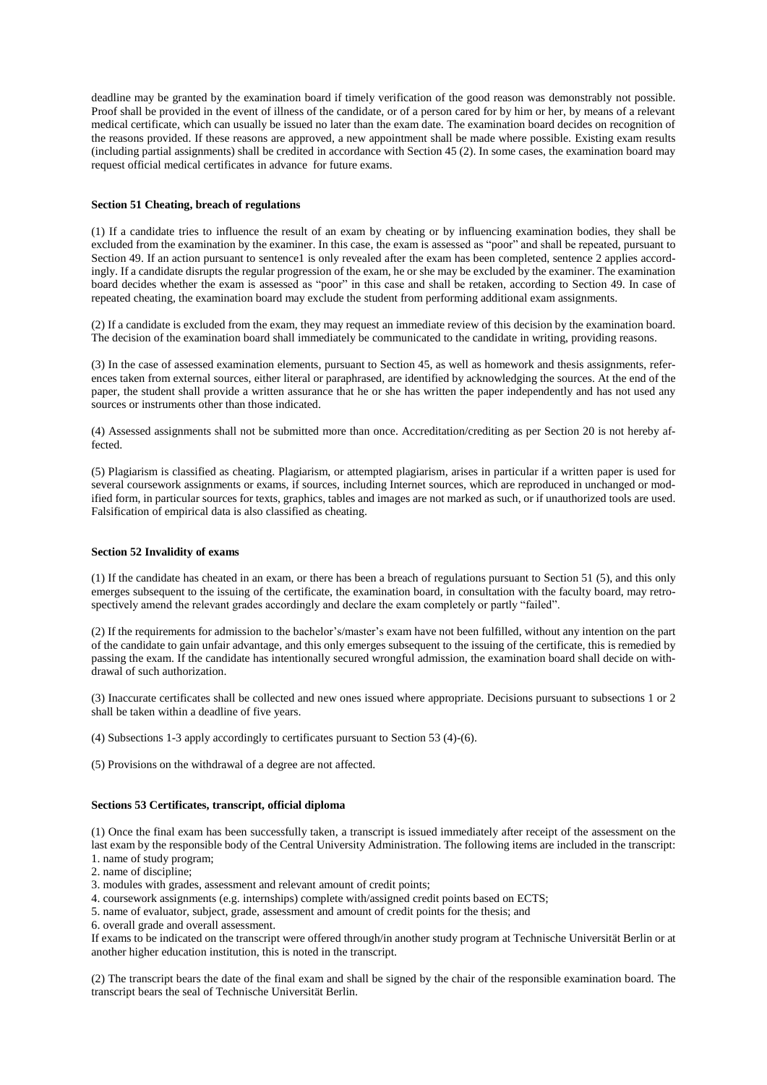deadline may be granted by the examination board if timely verification of the good reason was demonstrably not possible. Proof shall be provided in the event of illness of the candidate, or of a person cared for by him or her, by means of a relevant medical certificate, which can usually be issued no later than the exam date. The examination board decides on recognition of the reasons provided. If these reasons are approved, a new appointment shall be made where possible. Existing exam results (including partial assignments) shall be credited in accordance with Section 45 (2). In some cases, the examination board may request official medical certificates in advance for future exams.

### **Section 51 Cheating, breach of regulations**

(1) If a candidate tries to influence the result of an exam by cheating or by influencing examination bodies, they shall be excluded from the examination by the examiner. In this case, the exam is assessed as "poor" and shall be repeated, pursuant to Section 49. If an action pursuant to sentence1 is only revealed after the exam has been completed, sentence 2 applies accordingly. If a candidate disrupts the regular progression of the exam, he or she may be excluded by the examiner. The examination board decides whether the exam is assessed as "poor" in this case and shall be retaken, according to Section 49. In case of repeated cheating, the examination board may exclude the student from performing additional exam assignments.

(2) If a candidate is excluded from the exam, they may request an immediate review of this decision by the examination board. The decision of the examination board shall immediately be communicated to the candidate in writing, providing reasons.

(3) In the case of assessed examination elements, pursuant to Section 45, as well as homework and thesis assignments, references taken from external sources, either literal or paraphrased, are identified by acknowledging the sources. At the end of the paper, the student shall provide a written assurance that he or she has written the paper independently and has not used any sources or instruments other than those indicated.

(4) Assessed assignments shall not be submitted more than once. Accreditation/crediting as per Section 20 is not hereby affected.

(5) Plagiarism is classified as cheating. Plagiarism, or attempted plagiarism, arises in particular if a written paper is used for several coursework assignments or exams, if sources, including Internet sources, which are reproduced in unchanged or modified form, in particular sources for texts, graphics, tables and images are not marked as such, or if unauthorized tools are used. Falsification of empirical data is also classified as cheating.

#### **Section 52 Invalidity of exams**

(1) If the candidate has cheated in an exam, or there has been a breach of regulations pursuant to Section 51 (5), and this only emerges subsequent to the issuing of the certificate, the examination board, in consultation with the faculty board, may retrospectively amend the relevant grades accordingly and declare the exam completely or partly "failed".

(2) If the requirements for admission to the bachelor's/master's exam have not been fulfilled, without any intention on the part of the candidate to gain unfair advantage, and this only emerges subsequent to the issuing of the certificate, this is remedied by passing the exam. If the candidate has intentionally secured wrongful admission, the examination board shall decide on withdrawal of such authorization.

(3) Inaccurate certificates shall be collected and new ones issued where appropriate. Decisions pursuant to subsections 1 or 2 shall be taken within a deadline of five years.

(4) Subsections 1-3 apply accordingly to certificates pursuant to Section 53 (4)-(6).

(5) Provisions on the withdrawal of a degree are not affected.

## **Sections 53 Certificates, transcript, official diploma**

(1) Once the final exam has been successfully taken, a transcript is issued immediately after receipt of the assessment on the last exam by the responsible body of the Central University Administration. The following items are included in the transcript: 1. name of study program;

- 2. name of discipline;
- 3. modules with grades, assessment and relevant amount of credit points;
- 4. coursework assignments (e.g. internships) complete with/assigned credit points based on ECTS;
- 5. name of evaluator, subject, grade, assessment and amount of credit points for the thesis; and
- 6. overall grade and overall assessment.

If exams to be indicated on the transcript were offered through/in another study program at Technische Universität Berlin or at another higher education institution, this is noted in the transcript.

(2) The transcript bears the date of the final exam and shall be signed by the chair of the responsible examination board. The transcript bears the seal of Technische Universität Berlin.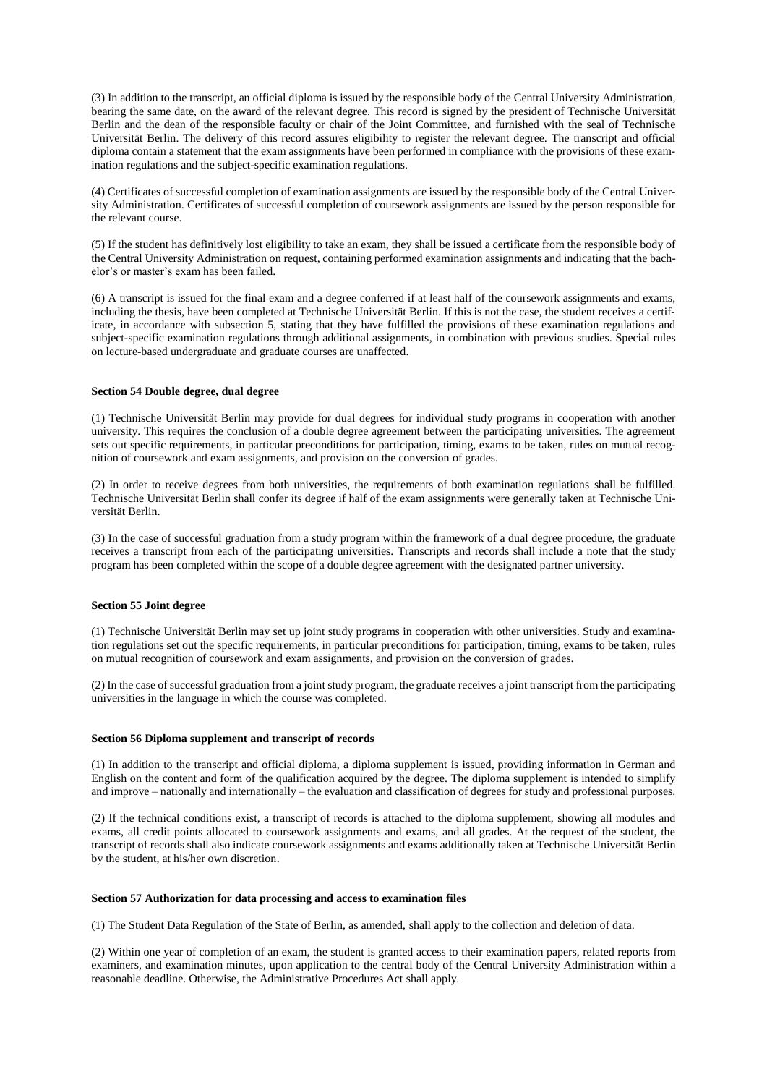(3) In addition to the transcript, an official diploma is issued by the responsible body of the Central University Administration, bearing the same date, on the award of the relevant degree. This record is signed by the president of Technische Universität Berlin and the dean of the responsible faculty or chair of the Joint Committee, and furnished with the seal of Technische Universität Berlin. The delivery of this record assures eligibility to register the relevant degree. The transcript and official diploma contain a statement that the exam assignments have been performed in compliance with the provisions of these examination regulations and the subject-specific examination regulations.

(4) Certificates of successful completion of examination assignments are issued by the responsible body of the Central University Administration. Certificates of successful completion of coursework assignments are issued by the person responsible for the relevant course.

(5) If the student has definitively lost eligibility to take an exam, they shall be issued a certificate from the responsible body of the Central University Administration on request, containing performed examination assignments and indicating that the bachelor's or master's exam has been failed.

(6) A transcript is issued for the final exam and a degree conferred if at least half of the coursework assignments and exams, including the thesis, have been completed at Technische Universität Berlin. If this is not the case, the student receives a certificate, in accordance with subsection 5, stating that they have fulfilled the provisions of these examination regulations and subject-specific examination regulations through additional assignments, in combination with previous studies. Special rules on lecture-based undergraduate and graduate courses are unaffected.

## **Section 54 Double degree, dual degree**

(1) Technische Universität Berlin may provide for dual degrees for individual study programs in cooperation with another university. This requires the conclusion of a double degree agreement between the participating universities. The agreement sets out specific requirements, in particular preconditions for participation, timing, exams to be taken, rules on mutual recognition of coursework and exam assignments, and provision on the conversion of grades.

(2) In order to receive degrees from both universities, the requirements of both examination regulations shall be fulfilled. Technische Universität Berlin shall confer its degree if half of the exam assignments were generally taken at Technische Universität Berlin.

(3) In the case of successful graduation from a study program within the framework of a dual degree procedure, the graduate receives a transcript from each of the participating universities. Transcripts and records shall include a note that the study program has been completed within the scope of a double degree agreement with the designated partner university.

#### **Section 55 Joint degree**

(1) Technische Universität Berlin may set up joint study programs in cooperation with other universities. Study and examination regulations set out the specific requirements, in particular preconditions for participation, timing, exams to be taken, rules on mutual recognition of coursework and exam assignments, and provision on the conversion of grades.

(2) In the case of successful graduation from a joint study program, the graduate receives a joint transcript from the participating universities in the language in which the course was completed.

#### **Section 56 Diploma supplement and transcript of records**

(1) In addition to the transcript and official diploma, a diploma supplement is issued, providing information in German and English on the content and form of the qualification acquired by the degree. The diploma supplement is intended to simplify and improve – nationally and internationally – the evaluation and classification of degrees for study and professional purposes.

(2) If the technical conditions exist, a transcript of records is attached to the diploma supplement, showing all modules and exams, all credit points allocated to coursework assignments and exams, and all grades. At the request of the student, the transcript of records shall also indicate coursework assignments and exams additionally taken at Technische Universität Berlin by the student, at his/her own discretion.

#### **Section 57 Authorization for data processing and access to examination files**

(1) The Student Data Regulation of the State of Berlin, as amended, shall apply to the collection and deletion of data.

(2) Within one year of completion of an exam, the student is granted access to their examination papers, related reports from examiners, and examination minutes, upon application to the central body of the Central University Administration within a reasonable deadline. Otherwise, the Administrative Procedures Act shall apply.